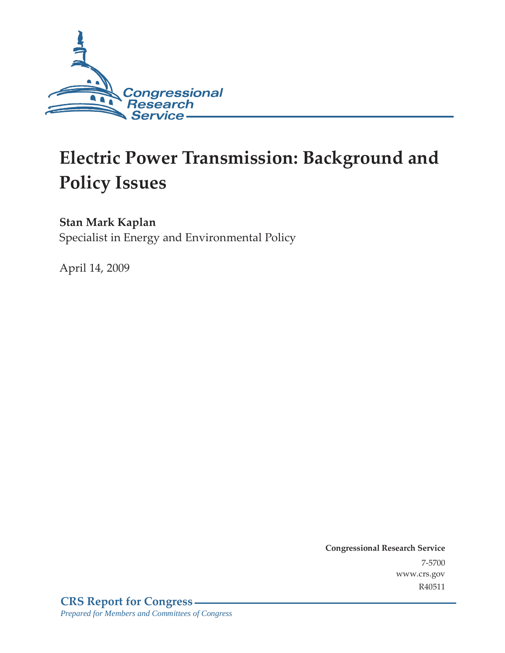

# **Electric Power Transmission: Background and Policy Issues**

### **Stan Mark Kaplan**

Specialist in Energy and Environmental Policy

April 14, 2009

**Congressional Research Service** 7-5700 www.crs.gov R40511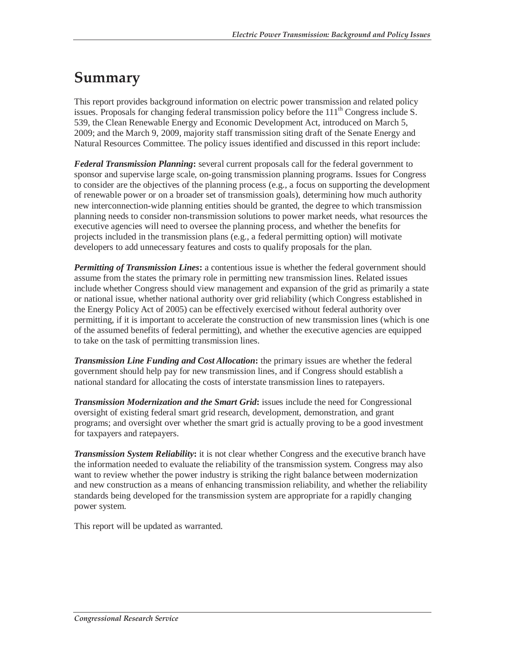## **Summary**

This report provides background information on electric power transmission and related policy issues. Proposals for changing federal transmission policy before the  $111<sup>th</sup>$  Congress include S. 539, the Clean Renewable Energy and Economic Development Act, introduced on March 5, 2009; and the March 9, 2009, majority staff transmission siting draft of the Senate Energy and Natural Resources Committee. The policy issues identified and discussed in this report include:

*Federal Transmission Planning***:** several current proposals call for the federal government to sponsor and supervise large scale, on-going transmission planning programs. Issues for Congress to consider are the objectives of the planning process (e.g., a focus on supporting the development of renewable power or on a broader set of transmission goals), determining how much authority new interconnection-wide planning entities should be granted, the degree to which transmission planning needs to consider non-transmission solutions to power market needs, what resources the executive agencies will need to oversee the planning process, and whether the benefits for projects included in the transmission plans (e.g., a federal permitting option) will motivate developers to add unnecessary features and costs to qualify proposals for the plan.

*Permitting of Transmission Lines***:** a contentious issue is whether the federal government should assume from the states the primary role in permitting new transmission lines. Related issues include whether Congress should view management and expansion of the grid as primarily a state or national issue, whether national authority over grid reliability (which Congress established in the Energy Policy Act of 2005) can be effectively exercised without federal authority over permitting, if it is important to accelerate the construction of new transmission lines (which is one of the assumed benefits of federal permitting), and whether the executive agencies are equipped to take on the task of permitting transmission lines.

*Transmission Line Funding and Cost Allocation***:** the primary issues are whether the federal government should help pay for new transmission lines, and if Congress should establish a national standard for allocating the costs of interstate transmission lines to ratepayers.

*Transmission Modernization and the Smart Grid***:** issues include the need for Congressional oversight of existing federal smart grid research, development, demonstration, and grant programs; and oversight over whether the smart grid is actually proving to be a good investment for taxpayers and ratepayers.

*Transmission System Reliability***:** it is not clear whether Congress and the executive branch have the information needed to evaluate the reliability of the transmission system. Congress may also want to review whether the power industry is striking the right balance between modernization and new construction as a means of enhancing transmission reliability, and whether the reliability standards being developed for the transmission system are appropriate for a rapidly changing power system.

This report will be updated as warranted.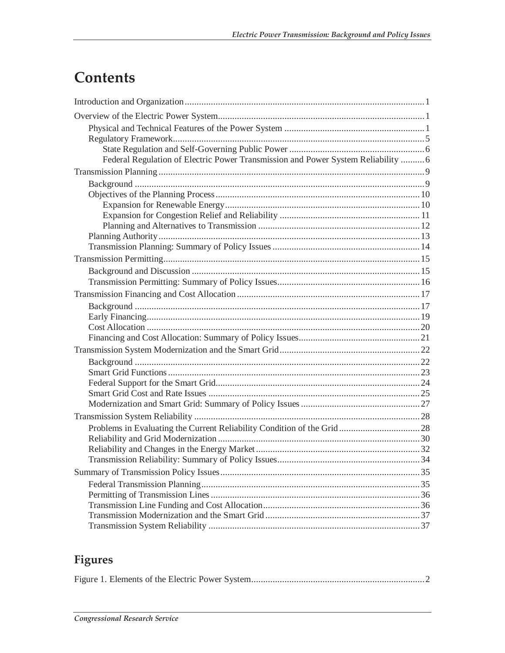## **Contents**

| Federal Regulation of Electric Power Transmission and Power System Reliability  6 |  |
|-----------------------------------------------------------------------------------|--|
|                                                                                   |  |
|                                                                                   |  |
|                                                                                   |  |
|                                                                                   |  |
|                                                                                   |  |
|                                                                                   |  |
|                                                                                   |  |
|                                                                                   |  |
|                                                                                   |  |
|                                                                                   |  |
|                                                                                   |  |
|                                                                                   |  |
|                                                                                   |  |
|                                                                                   |  |
|                                                                                   |  |
|                                                                                   |  |
|                                                                                   |  |
|                                                                                   |  |
|                                                                                   |  |
|                                                                                   |  |
|                                                                                   |  |
|                                                                                   |  |
|                                                                                   |  |
|                                                                                   |  |
|                                                                                   |  |
|                                                                                   |  |
|                                                                                   |  |
|                                                                                   |  |
|                                                                                   |  |
|                                                                                   |  |
|                                                                                   |  |
|                                                                                   |  |
|                                                                                   |  |

### **Figures**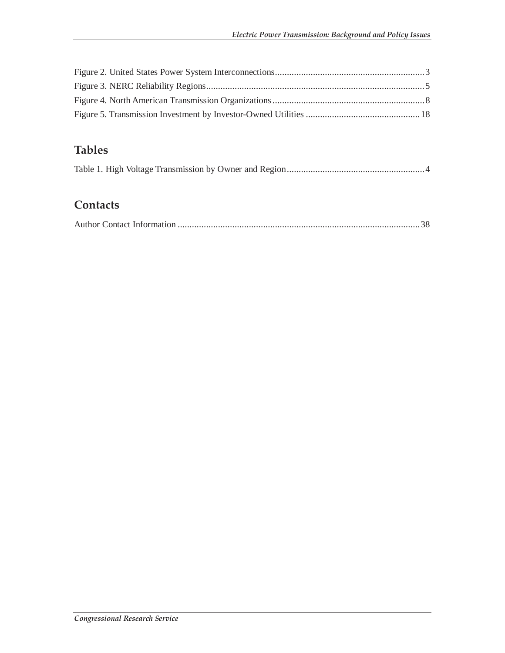### **Tables**

#### **Contacts**

|--|--|--|--|--|--|--|--|--|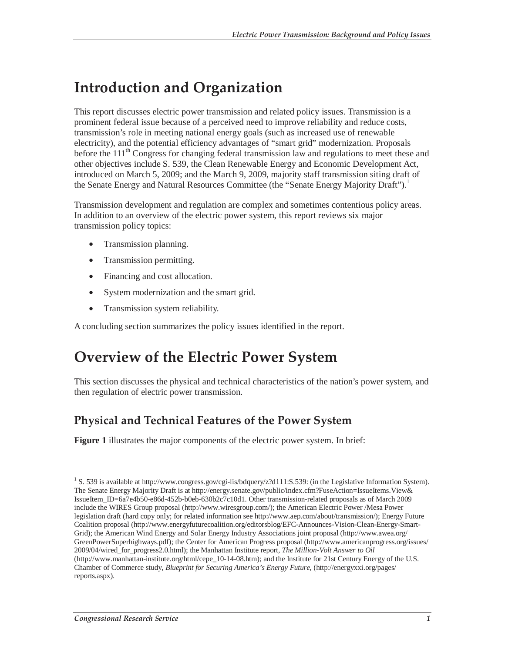## **Introduction and Organization**

This report discusses electric power transmission and related policy issues. Transmission is a prominent federal issue because of a perceived need to improve reliability and reduce costs, transmission's role in meeting national energy goals (such as increased use of renewable electricity), and the potential efficiency advantages of "smart grid" modernization. Proposals before the 111<sup>th</sup> Congress for changing federal transmission law and regulations to meet these and other objectives include S. 539, the Clean Renewable Energy and Economic Development Act, introduced on March 5, 2009; and the March 9, 2009, majority staff transmission siting draft of the Senate Energy and Natural Resources Committee (the "Senate Energy Majority Draft").<sup>1</sup>

Transmission development and regulation are complex and sometimes contentious policy areas. In addition to an overview of the electric power system, this report reviews six major transmission policy topics:

- Transmission planning.
- Transmission permitting.
- Financing and cost allocation.
- System modernization and the smart grid.
- Transmission system reliability.

A concluding section summarizes the policy issues identified in the report.

## **Overview of the Electric Power System**

This section discusses the physical and technical characteristics of the nation's power system, and then regulation of electric power transmission.

### **Physical and Technical Features of the Power System**

**Figure 1** illustrates the major components of the electric power system. In brief:

 $\overline{a}$ <sup>1</sup> S. 539 is available at http://www.congress.gov/cgi-lis/bdquery/z?d111:S.539: (in the Legislative Information System). The Senate Energy Majority Draft is at http://energy.senate.gov/public/index.cfm?FuseAction=IssueItems.View& IssueItem\_ID=6a7e4b50-e86d-452b-b0eb-630b2c7c10d1. Other transmission-related proposals as of March 2009 include the WIRES Group proposal (http://www.wiresgroup.com/); the American Electric Power /Mesa Power legislation draft (hard copy only; for related information see http://www.aep.com/about/transmission/); Energy Future Coalition proposal (http://www.energyfuturecoalition.org/editorsblog/EFC-Announces-Vision-Clean-Energy-Smart-Grid); the American Wind Energy and Solar Energy Industry Associations joint proposal (http://www.awea.org/ GreenPowerSuperhighways.pdf); the Center for American Progress proposal (http://www.americanprogress.org/issues/ 2009/04/wired\_for\_progress2.0.html); the Manhattan Institute report, *The Million-Volt Answer to Oil* (http://www.manhattan-institute.org/html/cepe\_10-14-08.htm); and the Institute for 21st Century Energy of the U.S. Chamber of Commerce study, *Blueprint for Securing America's Energy Future*, (http://energyxxi.org/pages/ reports.aspx).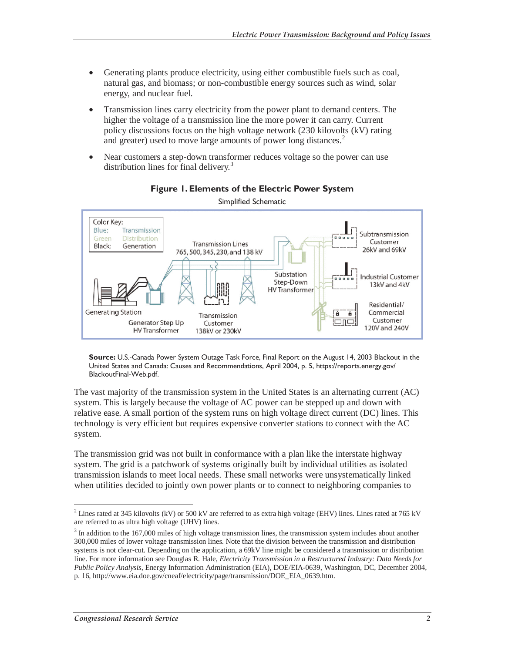- Generating plants produce electricity, using either combustible fuels such as coal, natural gas, and biomass; or non-combustible energy sources such as wind, solar energy, and nuclear fuel.
- Transmission lines carry electricity from the power plant to demand centers. The higher the voltage of a transmission line the more power it can carry. Current policy discussions focus on the high voltage network (230 kilovolts (kV) rating and greater) used to move large amounts of power long distances.<sup>2</sup>
- Near customers a step-down transformer reduces voltage so the power can use distribution lines for final delivery.<sup>3</sup>



#### **Figure 1. Elements of the Electric Power System**

**Source:** U.S.-Canada Power System Outage Task Force, Final Report on the August 14, 2003 Blackout in the United States and Canada: Causes and Recommendations, April 2004, p. 5, https://reports.energy.gov/ BlackoutFinal-Web.pdf.

The vast majority of the transmission system in the United States is an alternating current (AC) system. This is largely because the voltage of AC power can be stepped up and down with relative ease. A small portion of the system runs on high voltage direct current (DC) lines. This technology is very efficient but requires expensive converter stations to connect with the AC system.

The transmission grid was not built in conformance with a plan like the interstate highway system. The grid is a patchwork of systems originally built by individual utilities as isolated transmission islands to meet local needs. These small networks were unsystematically linked when utilities decided to jointly own power plants or to connect to neighboring companies to

<sup>&</sup>lt;u>2</u><br><sup>2</sup> Lines rated at 345 kilovolts (kV) or 500 kV are referred to as extra high voltage (EHV) lines. Lines rated at 765 kV are referred to as ultra high voltage (UHV) lines.

 $3$  In addition to the 167,000 miles of high voltage transmission lines, the transmission system includes about another 300,000 miles of lower voltage transmission lines. Note that the division between the transmission and distribution systems is not clear-cut. Depending on the application, a 69kV line might be considered a transmission or distribution line. For more information see Douglas R. Hale, *Electricity Transmission in a Restructured Industry: Data Needs for Public Policy Analysis*, Energy Information Administration (EIA), DOE/EIA-0639, Washington, DC, December 2004, p. 16, http://www.eia.doe.gov/cneaf/electricity/page/transmission/DOE\_EIA\_0639.htm.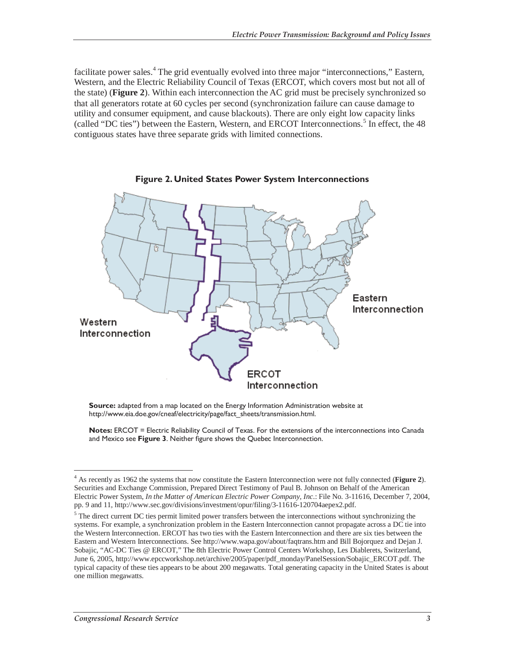facilitate power sales.<sup>4</sup> The grid eventually evolved into three major "interconnections," Eastern, Western, and the Electric Reliability Council of Texas (ERCOT, which covers most but not all of the state) (**Figure 2**). Within each interconnection the AC grid must be precisely synchronized so that all generators rotate at 60 cycles per second (synchronization failure can cause damage to utility and consumer equipment, and cause blackouts). There are only eight low capacity links (called "DC ties") between the Eastern, Western, and ERCOT Interconnections.<sup>5</sup> In effect, the 48 contiguous states have three separate grids with limited connections.



**Figure 2. United States Power System Interconnections** 

Source: adapted from a map located on the Energy Information Administration website at http://www.eia.doe.gov/cneaf/electricity/page/fact\_sheets/transmission.html.

**Notes:** ERCOT = Electric Reliability Council of Texas. For the extensions of the interconnections into Canada and Mexico see **Figure 3**. Neither figure shows the Quebec Interconnection.

<sup>4</sup> As recently as 1962 the systems that now constitute the Eastern Interconnection were not fully connected (**Figure 2**). Securities and Exchange Commission, Prepared Direct Testimony of Paul B. Johnson on Behalf of the American Electric Power System, *In the Matter of American Electric Power Company, Inc*.: File No. 3-11616, December 7, 2004, pp. 9 and 11, http://www.sec.gov/divisions/investment/opur/filing/3-11616-120704aepex2.pdf.

<sup>&</sup>lt;sup>5</sup> The direct current DC ties permit limited power transfers between the interconnections without synchronizing the systems. For example, a synchronization problem in the Eastern Interconnection cannot propagate across a DC tie into the Western Interconnection. ERCOT has two ties with the Eastern Interconnection and there are six ties between the Eastern and Western Interconnections. See http://www.wapa.gov/about/faqtrans.htm and Bill Bojorquez and Dejan J. Sobajic, "AC-DC Ties @ ERCOT," The 8th Electric Power Control Centers Workshop, Les Diablerets, Switzerland, June 6, 2005, http://www.epccworkshop.net/archive/2005/paper/pdf\_monday/PanelSession/Sobajic\_ERCOT.pdf. The typical capacity of these ties appears to be about 200 megawatts. Total generating capacity in the United States is about one million megawatts.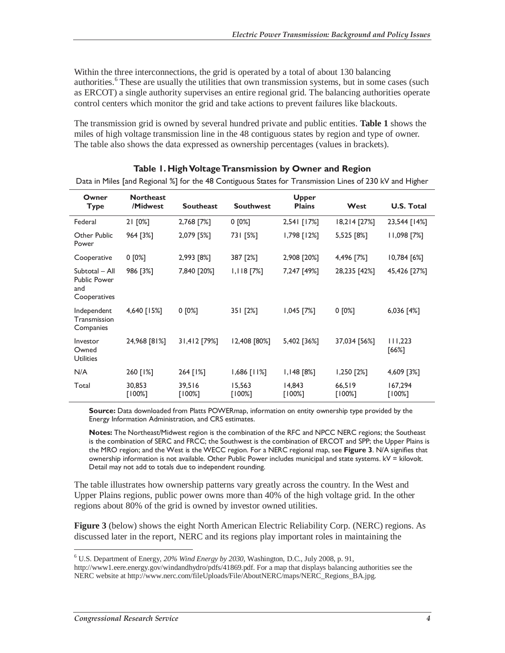Within the three interconnections, the grid is operated by a total of about 130 balancing authorities.<sup>6</sup> These are usually the utilities that own transmission systems, but in some cases (such as ERCOT) a single authority supervises an entire regional grid. The balancing authorities operate control centers which monitor the grid and take actions to prevent failures like blackouts.

The transmission grid is owned by several hundred private and public entities. **Table 1** shows the miles of high voltage transmission line in the 48 contiguous states by region and type of owner. The table also shows the data expressed as ownership percentages (values in brackets).

|                                                              |                              |                  |                  |                               |                  | o                 |
|--------------------------------------------------------------|------------------------------|------------------|------------------|-------------------------------|------------------|-------------------|
| Owner<br><b>Type</b>                                         | <b>Northeast</b><br>/Midwest | <b>Southeast</b> | <b>Southwest</b> | <b>Upper</b><br><b>Plains</b> | West             | <b>U.S. Total</b> |
| Federal                                                      | 21 [0%]                      | 2,768 [7%]       | 0 [0%]           | 2,541 [17%]                   | 18,214 [27%]     | 23,544 [14%]      |
| Other Public<br>Power                                        | 964 [3%]                     | 2,079 [5%]       | 731 [5%]         | 1,798 [12%]                   | 5,525 [8%]       | 11,098 [7%]       |
| Cooperative                                                  | 0 [0%]                       | 2,993 [8%]       | 387 [2%]         | 2,908 [20%]                   | 4,496 [7%]       | 10,784 [6%]       |
| Subtotal - All<br><b>Public Power</b><br>and<br>Cooperatives | 986 [3%]                     | 7,840 [20%]      | $1,118$ [7%]     | 7,247 [49%]                   | 28,235 [42%]     | 45,426 [27%]      |
| Independent<br>Transmission<br>Companies                     | 4,640 [15%]                  | 0 [0%]           | 351 [2%]         | 1,045 [7%]                    | 0 [0%]           | 6,036 [4%]        |
| Investor<br>Owned<br><b>Utilities</b>                        | 24,968 [81%]                 | 31,412 [79%]     | 12,408 [80%]     | 5,402 [36%]                   | 37,034 [56%]     | 111,223<br>[66%]  |
| N/A                                                          | 260 [1%]                     | 264 [1%]         | $1,686$ [11%]    | $1,148$ [8%]                  | 1,250 [2%]       | 4,609 [3%]        |
| Total                                                        | 30,853<br>[100%]             | 39,516<br>[100%] | 15,563<br>[100%] | 14,843<br>[100%]              | 66,519<br>[100%] | 167,294<br>[100%] |

#### **Table 1. High Voltage Transmission by Owner and Region**

Data in Miles [and Regional %] for the 48 Contiguous States for Transmission Lines of 230 kV and Higher

**Source:** Data downloaded from Platts POWERmap, information on entity ownership type provided by the Energy Information Administration, and CRS estimates.

**Notes:** The Northeast/Midwest region is the combination of the RFC and NPCC NERC regions; the Southeast is the combination of SERC and FRCC; the Southwest is the combination of ERCOT and SPP; the Upper Plains is the MRO region; and the West is the WECC region. For a NERC regional map, see **Figure 3**. N/A signifies that ownership information is not available. Other Public Power includes municipal and state systems. kV = kilovolt. Detail may not add to totals due to independent rounding.

The table illustrates how ownership patterns vary greatly across the country. In the West and Upper Plains regions, public power owns more than 40% of the high voltage grid. In the other regions about 80% of the grid is owned by investor owned utilities.

**Figure 3** (below) shows the eight North American Electric Reliability Corp. (NERC) regions. As discussed later in the report, NERC and its regions play important roles in maintaining the

<sup>6</sup> U.S. Department of Energy, *20% Wind Energy by 2030*, Washington, D.C., July 2008, p. 91,

http://www1.eere.energy.gov/windandhydro/pdfs/41869.pdf. For a map that displays balancing authorities see the NERC website at http://www.nerc.com/fileUploads/File/AboutNERC/maps/NERC\_Regions\_BA.jpg.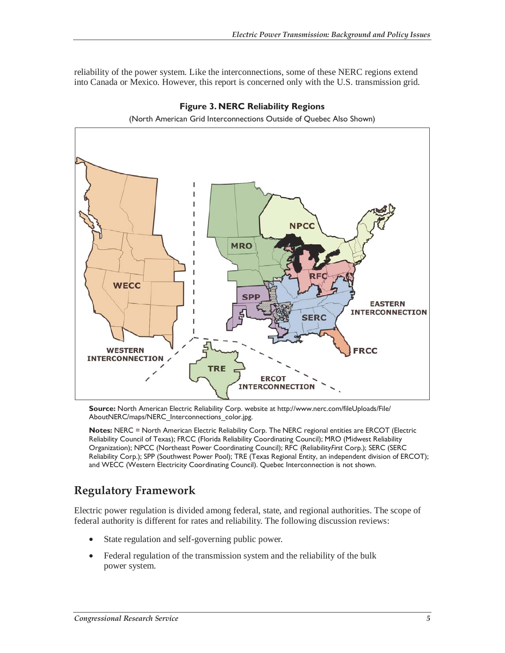reliability of the power system. Like the interconnections, some of these NERC regions extend into Canada or Mexico. However, this report is concerned only with the U.S. transmission grid.



**Figure 3. NERC Reliability Regions** 

(North American Grid Interconnections Outside of Quebec Also Shown)

**Source:** North American Electric Reliability Corp. website at http://www.nerc.com/fileUploads/File/ AboutNERC/maps/NERC\_Interconnections\_color.jpg.

**Notes:** NERC = North American Electric Reliability Corp. The NERC regional entities are ERCOT (Electric Reliability Council of Texas); FRCC (Florida Reliability Coordinating Council); MRO (Midwest Reliability Organization); NPCC (Northeast Power Coordinating Council); RFC (Reliability*First* Corp.); SERC (SERC Reliability Corp.); SPP (Southwest Power Pool); TRE (Texas Regional Entity, an independent division of ERCOT); and WECC (Western Electricity Coordinating Council). Quebec Interconnection is not shown.

#### **Regulatory Framework**

Electric power regulation is divided among federal, state, and regional authorities. The scope of federal authority is different for rates and reliability. The following discussion reviews:

- State regulation and self-governing public power.
- Federal regulation of the transmission system and the reliability of the bulk power system.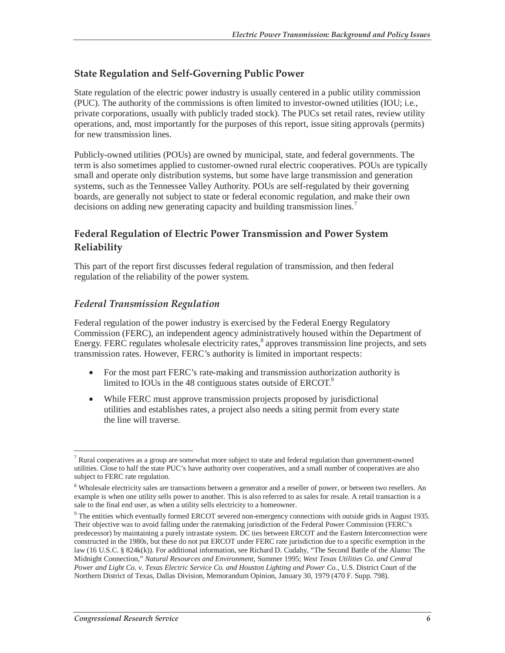#### **State Regulation and Self-Governing Public Power**

State regulation of the electric power industry is usually centered in a public utility commission (PUC). The authority of the commissions is often limited to investor-owned utilities (IOU; i.e., private corporations, usually with publicly traded stock). The PUCs set retail rates, review utility operations, and, most importantly for the purposes of this report, issue siting approvals (permits) for new transmission lines.

Publicly-owned utilities (POUs) are owned by municipal, state, and federal governments. The term is also sometimes applied to customer-owned rural electric cooperatives. POUs are typically small and operate only distribution systems, but some have large transmission and generation systems, such as the Tennessee Valley Authority. POUs are self-regulated by their governing boards, are generally not subject to state or federal economic regulation, and make their own decisions on adding new generating capacity and building transmission lines.<sup>7</sup>

#### **Federal Regulation of Electric Power Transmission and Power System Reliability**

This part of the report first discusses federal regulation of transmission, and then federal regulation of the reliability of the power system.

#### *Federal Transmission Regulation*

Federal regulation of the power industry is exercised by the Federal Energy Regulatory Commission (FERC), an independent agency administratively housed within the Department of Energy. FERC regulates wholesale electricity rates,<sup>8</sup> approves transmission line projects, and sets transmission rates. However, FERC's authority is limited in important respects:

- For the most part FERC's rate-making and transmission authorization authority is limited to IOUs in the 48 contiguous states outside of ERCOT.<sup>9</sup>
- While FERC must approve transmission projects proposed by jurisdictional utilities and establishes rates, a project also needs a siting permit from every state the line will traverse.

 $\overline{a}$  $7$  Rural cooperatives as a group are somewhat more subject to state and federal regulation than government-owned utilities. Close to half the state PUC's have authority over cooperatives, and a small number of cooperatives are also subject to FERC rate regulation.

<sup>&</sup>lt;sup>8</sup> Wholesale electricity sales are transactions between a generator and a reseller of power, or between two resellers. An example is when one utility sells power to another. This is also referred to as sales for resale. A retail transaction is a sale to the final end user, as when a utility sells electricity to a homeowner.

<sup>&</sup>lt;sup>9</sup> The entities which eventually formed ERCOT severed non-emergency connections with outside grids in August 1935. Their objective was to avoid falling under the ratemaking jurisdiction of the Federal Power Commission (FERC's predecessor) by maintaining a purely intrastate system. DC ties between ERCOT and the Eastern Interconnection were constructed in the 1980s, but these do not put ERCOT under FERC rate jurisdiction due to a specific exemption in the law (16 U.S.C. § 824k(k)). For additional information, see Richard D. Cudahy, "The Second Battle of the Alamo: The Midnight Connection," *Natural Resources and Environment*, Summer 1995; *West Texas Utilities Co. and Central Power and Light Co. v. Texas Electric Service Co. and Houston Lighting and Power Co.*, U.S. District Court of the Northern District of Texas, Dallas Division, Memorandum Opinion, January 30, 1979 (470 F. Supp. 798).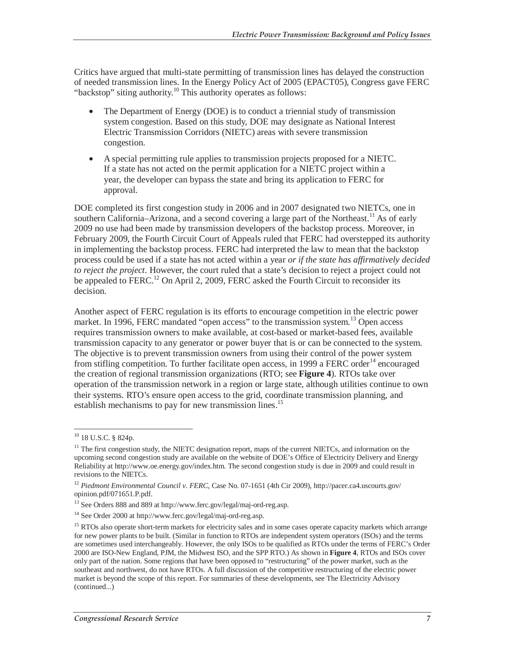Critics have argued that multi-state permitting of transmission lines has delayed the construction of needed transmission lines. In the Energy Policy Act of 2005 (EPACT05), Congress gave FERC "backstop" siting authority.<sup>10</sup> This authority operates as follows:

- The Department of Energy (DOE) is to conduct a triennial study of transmission system congestion. Based on this study, DOE may designate as National Interest Electric Transmission Corridors (NIETC) areas with severe transmission congestion.
- A special permitting rule applies to transmission projects proposed for a NIETC. If a state has not acted on the permit application for a NIETC project within a year, the developer can bypass the state and bring its application to FERC for approval.

DOE completed its first congestion study in 2006 and in 2007 designated two NIETCs, one in southern California–Arizona, and a second covering a large part of the Northeast.<sup>11</sup> As of early 2009 no use had been made by transmission developers of the backstop process. Moreover, in February 2009, the Fourth Circuit Court of Appeals ruled that FERC had overstepped its authority in implementing the backstop process. FERC had interpreted the law to mean that the backstop process could be used if a state has not acted within a year *or if the state has affirmatively decided to reject the project*. However, the court ruled that a state's decision to reject a project could not be appealed to  $FERC<sup>12</sup>$  On April 2, 2009, FERC asked the Fourth Circuit to reconsider its decision.

Another aspect of FERC regulation is its efforts to encourage competition in the electric power market. In 1996, FERC mandated "open access" to the transmission system.<sup>13</sup> Open access requires transmission owners to make available, at cost-based or market-based fees, available transmission capacity to any generator or power buyer that is or can be connected to the system. The objective is to prevent transmission owners from using their control of the power system from stifling competition. To further facilitate open access, in 1999 a FERC order<sup>14</sup> encouraged the creation of regional transmission organizations (RTO; see **Figure 4**). RTOs take over operation of the transmission network in a region or large state, although utilities continue to own their systems. RTO's ensure open access to the grid, coordinate transmission planning, and establish mechanisms to pay for new transmission lines.<sup>15</sup>

<sup>10 18</sup> U.S.C. § 824p.

 $11$  The first congestion study, the NIETC designation report, maps of the current NIETCs, and information on the upcoming second congestion study are available on the website of DOE's Office of Electricity Delivery and Energy Reliability at http://www.oe.energy.gov/index.htm. The second congestion study is due in 2009 and could result in revisions to the NIETCs.

<sup>12</sup> *Piedmont Environmental Council v. FERC*, Case No. 07-1651 (4th Cir 2009), http://pacer.ca4.uscourts.gov/ opinion.pdf/071651.P.pdf.

<sup>13</sup> See Orders 888 and 889 at http://www.ferc.gov/legal/maj-ord-reg.asp.

<sup>14</sup> See Order 2000 at http://www.ferc.gov/legal/maj-ord-reg.asp.

<sup>&</sup>lt;sup>15</sup> RTOs also operate short-term markets for electricity sales and in some cases operate capacity markets which arrange for new power plants to be built. (Similar in function to RTOs are independent system operators (ISOs) and the terms are sometimes used interchangeably. However, the only ISOs to be qualified as RTOs under the terms of FERC's Order 2000 are ISO-New England, PJM, the Midwest ISO, and the SPP RTO.) As shown in **Figure 4**, RTOs and ISOs cover only part of the nation. Some regions that have been opposed to "restructuring" of the power market, such as the southeast and northwest, do not have RTOs. A full discussion of the competitive restructuring of the electric power market is beyond the scope of this report. For summaries of these developments, see The Electricity Advisory (continued...)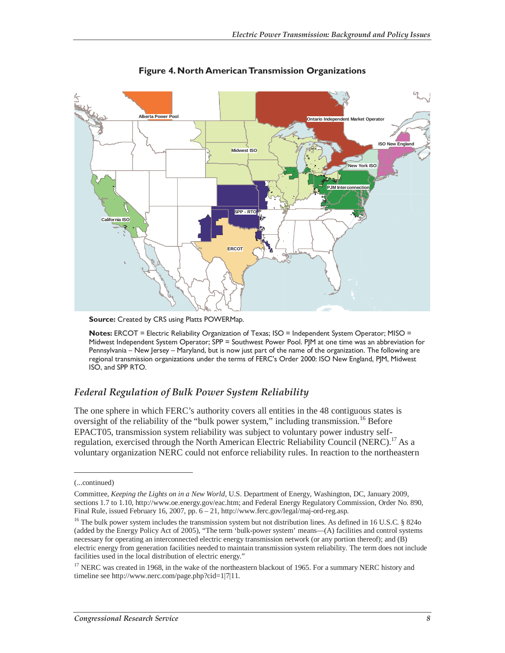

**Figure 4. North American Transmission Organizations** 

**Source:** Created by CRS using Platts POWERMap.

**Notes:** ERCOT = Electric Reliability Organization of Texas; ISO = Independent System Operator; MISO = Midwest Independent System Operator: SPP = Southwest Power Pool. PIM at one time was an abbreviation for Pennsylvania – New Jersey – Maryland, but is now just part of the name of the organization. The following are regional transmission organizations under the terms of FERC's Order 2000: ISO New England, PJM, Midwest ISO, and SPP RTO.

#### *Federal Regulation of Bulk Power System Reliability*

The one sphere in which FERC's authority covers all entities in the 48 contiguous states is oversight of the reliability of the "bulk power system," including transmission.<sup>16</sup> Before EPACT05, transmission system reliability was subject to voluntary power industry selfregulation, exercised through the North American Electric Reliability Council (NERC).<sup>17</sup> As a voluntary organization NERC could not enforce reliability rules. In reaction to the northeastern

<sup>(...</sup>continued)

Committee, *Keeping the Lights on in a New World,* U.S. Department of Energy, Washington, DC, January 2009, sections 1.7 to 1.10, http://www.oe.energy.gov/eac.htm; and Federal Energy Regulatory Commission, Order No. 890, Final Rule, issued February 16, 2007, pp. 6 – 21, http://www.ferc.gov/legal/maj-ord-reg.asp.

<sup>&</sup>lt;sup>16</sup> The bulk power system includes the transmission system but not distribution lines. As defined in 16 U.S.C. § 824o (added by the Energy Policy Act of 2005), "The term 'bulk-power system' means—(A) facilities and control systems necessary for operating an interconnected electric energy transmission network (or any portion thereof); and (B) electric energy from generation facilities needed to maintain transmission system reliability. The term does not include facilities used in the local distribution of electric energy."

<sup>&</sup>lt;sup>17</sup> NERC was created in 1968, in the wake of the northeastern blackout of 1965. For a summary NERC history and timeline see http://www.nerc.com/page.php?cid=1|7|11.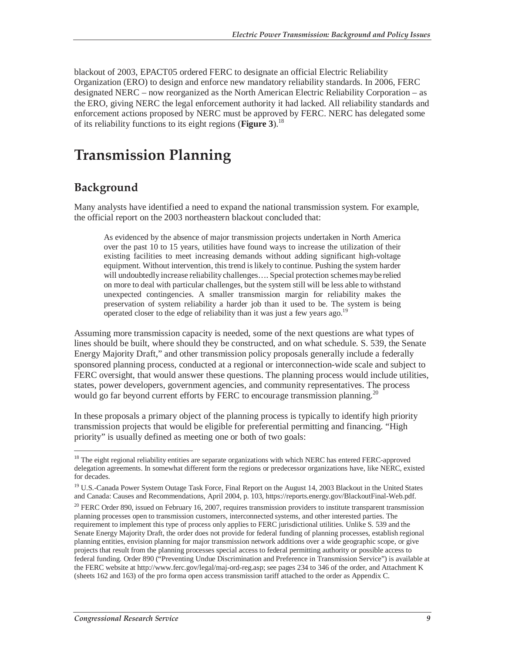blackout of 2003, EPACT05 ordered FERC to designate an official Electric Reliability Organization (ERO) to design and enforce new mandatory reliability standards. In 2006, FERC designated NERC – now reorganized as the North American Electric Reliability Corporation – as the ERO, giving NERC the legal enforcement authority it had lacked. All reliability standards and enforcement actions proposed by NERC must be approved by FERC. NERC has delegated some of its reliability functions to its eight regions (**Figure 3**).18

### **Transmission Planning**

#### **Background**

 $\overline{a}$ 

Many analysts have identified a need to expand the national transmission system. For example, the official report on the 2003 northeastern blackout concluded that:

As evidenced by the absence of major transmission projects undertaken in North America over the past 10 to 15 years, utilities have found ways to increase the utilization of their existing facilities to meet increasing demands without adding significant high-voltage equipment. Without intervention, this trend is likely to continue. Pushing the system harder will undoubtedly increase reliability challenges…. Special protection schemes may be relied on more to deal with particular challenges, but the system still will be less able to withstand unexpected contingencies. A smaller transmission margin for reliability makes the preservation of system reliability a harder job than it used to be. The system is being operated closer to the edge of reliability than it was just a few years ago.<sup>1</sup>

Assuming more transmission capacity is needed, some of the next questions are what types of lines should be built, where should they be constructed, and on what schedule. S. 539, the Senate Energy Majority Draft," and other transmission policy proposals generally include a federally sponsored planning process, conducted at a regional or interconnection-wide scale and subject to FERC oversight, that would answer these questions. The planning process would include utilities, states, power developers, government agencies, and community representatives. The process would go far beyond current efforts by FERC to encourage transmission planning.<sup>20</sup>

In these proposals a primary object of the planning process is typically to identify high priority transmission projects that would be eligible for preferential permitting and financing. "High priority" is usually defined as meeting one or both of two goals:

<sup>&</sup>lt;sup>18</sup> The eight regional reliability entities are separate organizations with which NERC has entered FERC-approved delegation agreements. In somewhat different form the regions or predecessor organizations have, like NERC, existed for decades.

<sup>&</sup>lt;sup>19</sup> U.S.-Canada Power System Outage Task Force, Final Report on the August 14, 2003 Blackout in the United States and Canada: Causes and Recommendations, April 2004, p. 103, https://reports.energy.gov/BlackoutFinal-Web.pdf.

 $20$  FERC Order 890, issued on February 16, 2007, requires transmission providers to institute transparent transmission planning processes open to transmission customers, interconnected systems, and other interested parties. The requirement to implement this type of process only applies to FERC jurisdictional utilities. Unlike S. 539 and the Senate Energy Majority Draft, the order does not provide for federal funding of planning processes, establish regional planning entities, envision planning for major transmission network additions over a wide geographic scope, or give projects that result from the planning processes special access to federal permitting authority or possible access to federal funding. Order 890 ("Preventing Undue Discrimination and Preference in Transmission Service") is available at the FERC website at http://www.ferc.gov/legal/maj-ord-reg.asp; see pages 234 to 346 of the order, and Attachment K (sheets 162 and 163) of the pro forma open access transmission tariff attached to the order as Appendix C.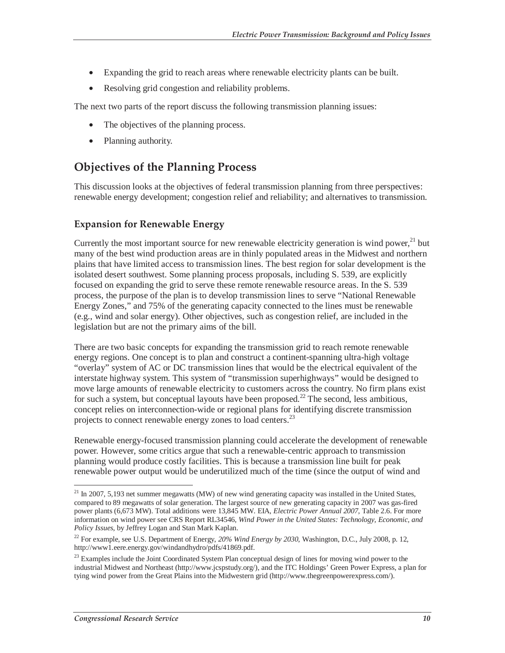- Expanding the grid to reach areas where renewable electricity plants can be built.
- Resolving grid congestion and reliability problems.

The next two parts of the report discuss the following transmission planning issues:

- The objectives of the planning process.
- Planning authority.

#### **Objectives of the Planning Process**

This discussion looks at the objectives of federal transmission planning from three perspectives: renewable energy development; congestion relief and reliability; and alternatives to transmission.

#### **Expansion for Renewable Energy**

Currently the most important source for new renewable electricity generation is wind power,<sup>21</sup> but many of the best wind production areas are in thinly populated areas in the Midwest and northern plains that have limited access to transmission lines. The best region for solar development is the isolated desert southwest. Some planning process proposals, including S. 539, are explicitly focused on expanding the grid to serve these remote renewable resource areas. In the S. 539 process, the purpose of the plan is to develop transmission lines to serve "National Renewable Energy Zones," and 75% of the generating capacity connected to the lines must be renewable (e.g., wind and solar energy). Other objectives, such as congestion relief, are included in the legislation but are not the primary aims of the bill.

There are two basic concepts for expanding the transmission grid to reach remote renewable energy regions. One concept is to plan and construct a continent-spanning ultra-high voltage "overlay" system of AC or DC transmission lines that would be the electrical equivalent of the interstate highway system. This system of "transmission superhighways" would be designed to move large amounts of renewable electricity to customers across the country. No firm plans exist for such a system, but conceptual layouts have been proposed.<sup>22</sup> The second, less ambitious, concept relies on interconnection-wide or regional plans for identifying discrete transmission projects to connect renewable energy zones to load centers.<sup>23</sup>

Renewable energy-focused transmission planning could accelerate the development of renewable power. However, some critics argue that such a renewable-centric approach to transmission planning would produce costly facilities. This is because a transmission line built for peak renewable power output would be underutilized much of the time (since the output of wind and

 $\overline{a}$ 

 $21$  In 2007, 5,193 net summer megawatts (MW) of new wind generating capacity was installed in the United States, compared to 89 megawatts of solar generation. The largest source of new generating capacity in 2007 was gas-fired power plants (6,673 MW). Total additions were 13,845 MW. EIA, *Electric Power Annual 2007*, Table 2.6. For more information on wind power see CRS Report RL34546, *Wind Power in the United States: Technology, Economic, and Policy Issues*, by Jeffrey Logan and Stan Mark Kaplan.

<sup>22</sup> For example, see U.S. Department of Energy, *20% Wind Energy by 2030*, Washington, D.C., July 2008, p. 12, http://www1.eere.energy.gov/windandhydro/pdfs/41869.pdf.

<sup>&</sup>lt;sup>23</sup> Examples include the Joint Coordinated System Plan conceptual design of lines for moving wind power to the industrial Midwest and Northeast (http://www.jcspstudy.org/), and the ITC Holdings' Green Power Express, a plan for tying wind power from the Great Plains into the Midwestern grid (http://www.thegreenpowerexpress.com/).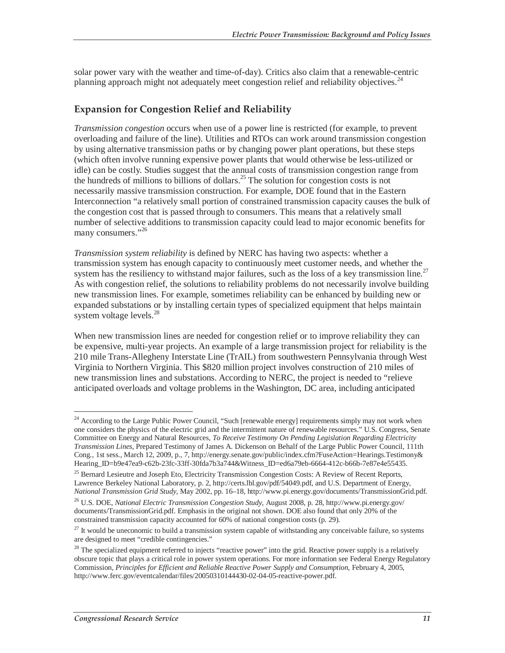solar power vary with the weather and time-of-day). Critics also claim that a renewable-centric planning approach might not adequately meet congestion relief and reliability objectives.<sup>24</sup>

#### **Expansion for Congestion Relief and Reliability**

*Transmission congestion* occurs when use of a power line is restricted (for example, to prevent overloading and failure of the line). Utilities and RTOs can work around transmission congestion by using alternative transmission paths or by changing power plant operations, but these steps (which often involve running expensive power plants that would otherwise be less-utilized or idle) can be costly. Studies suggest that the annual costs of transmission congestion range from the hundreds of millions to billions of dollars.<sup>25</sup> The solution for congestion costs is not necessarily massive transmission construction. For example, DOE found that in the Eastern Interconnection "a relatively small portion of constrained transmission capacity causes the bulk of the congestion cost that is passed through to consumers. This means that a relatively small number of selective additions to transmission capacity could lead to major economic benefits for many consumers."<sup>26</sup>

*Transmission system reliability* is defined by NERC has having two aspects: whether a transmission system has enough capacity to continuously meet customer needs, and whether the system has the resiliency to withstand major failures, such as the loss of a key transmission line.<sup>27</sup> As with congestion relief, the solutions to reliability problems do not necessarily involve building new transmission lines. For example, sometimes reliability can be enhanced by building new or expanded substations or by installing certain types of specialized equipment that helps maintain system voltage levels.<sup>28</sup>

When new transmission lines are needed for congestion relief or to improve reliability they can be expensive, multi-year projects. An example of a large transmission project for reliability is the 210 mile Trans-Allegheny Interstate Line (TrAIL) from southwestern Pennsylvania through West Virginia to Northern Virginia. This \$820 million project involves construction of 210 miles of new transmission lines and substations. According to NERC, the project is needed to "relieve anticipated overloads and voltage problems in the Washington, DC area, including anticipated

<sup>&</sup>lt;sup>24</sup> According to the Large Public Power Council, "Such [renewable energy] requirements simply may not work when one considers the physics of the electric grid and the intermittent nature of renewable resources." U.S. Congress, Senate Committee on Energy and Natural Resources, *To Receive Testimony On Pending Legislation Regarding Electricity Transmission Lines*, Prepared Testimony of James A. Dickenson on Behalf of the Large Public Power Council, 111th Cong., 1st sess., March 12, 2009, p., 7, http://energy.senate.gov/public/index.cfm?FuseAction=Hearings.Testimony& Hearing\_ID=b9e47ea9-c62b-23fc-33ff-30fda7b3a744&Witness\_ID=ed6a79eb-6664-412c-b66b-7e87e4e55435.

<sup>&</sup>lt;sup>25</sup> Bernard Lesieutre and Joseph Eto, Electricity Transmission Congestion Costs: A Review of Recent Reports, Lawrence Berkeley National Laboratory, p. 2, http://certs.lbl.gov/pdf/54049.pdf, and U.S. Department of Energy, *National Transmission Grid Study*, May 2002, pp. 16–18, http://www.pi.energy.gov/documents/TransmissionGrid.pdf.

<sup>26</sup> U.S. DOE, *National Electric Transmission Congestion Study*, August 2008, p. 28, http://www.pi.energy.gov/ documents/TransmissionGrid.pdf. Emphasis in the original not shown. DOE also found that only 20% of the constrained transmission capacity accounted for 60% of national congestion costs (p. 29).

 $27$  It would be uneconomic to build a transmission system capable of withstanding any conceivable failure, so systems are designed to meet "credible contingencies."

<sup>&</sup>lt;sup>28</sup> The specialized equipment referred to injects "reactive power" into the grid. Reactive power supply is a relatively obscure topic that plays a critical role in power system operations. For more information see Federal Energy Regulatory Commission, *Principles for Efficient and Reliable Reactive Power Supply and Consumption*, February 4, 2005, http://www.ferc.gov/eventcalendar/files/20050310144430-02-04-05-reactive-power.pdf.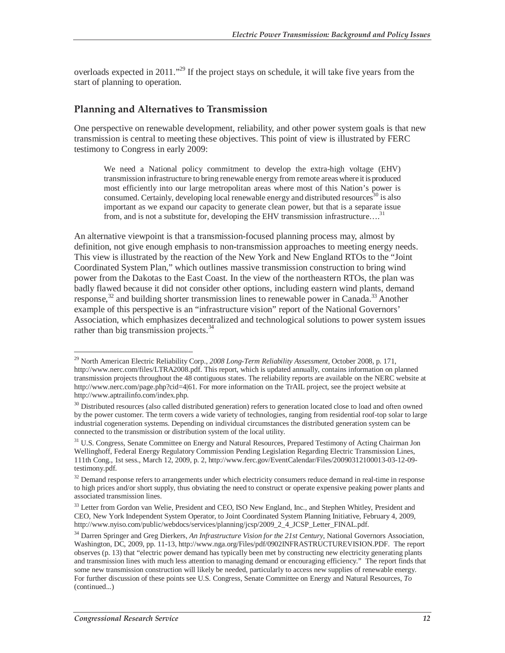overloads expected in 2011."<sup>29</sup> If the project stays on schedule, it will take five years from the start of planning to operation.

#### **Planning and Alternatives to Transmission**

One perspective on renewable development, reliability, and other power system goals is that new transmission is central to meeting these objectives. This point of view is illustrated by FERC testimony to Congress in early 2009:

We need a National policy commitment to develop the extra-high voltage (EHV) transmission infrastructure to bring renewable energy from remote areas where it is produced most efficiently into our large metropolitan areas where most of this Nation's power is consumed. Certainly, developing local renewable energy and distributed resources $30$  is also important as we expand our capacity to generate clean power, but that is a separate issue from, and is not a substitute for, developing the EHV transmission infrastructure....<sup>31</sup>

An alternative viewpoint is that a transmission-focused planning process may, almost by definition, not give enough emphasis to non-transmission approaches to meeting energy needs. This view is illustrated by the reaction of the New York and New England RTOs to the "Joint Coordinated System Plan," which outlines massive transmission construction to bring wind power from the Dakotas to the East Coast. In the view of the northeastern RTOs, the plan was badly flawed because it did not consider other options, including eastern wind plants, demand response,  $32$  and building shorter transmission lines to renewable power in Canada.<sup>33</sup> Another example of this perspective is an "infrastructure vision" report of the National Governors' Association, which emphasizes decentralized and technological solutions to power system issues rather than big transmission projects.<sup>34</sup>

 $\overline{a}$ 

<sup>29</sup> North American Electric Reliability Corp., *2008 Long-Term Reliability Assessment*, October 2008, p. 171, http://www.nerc.com/files/LTRA2008.pdf. This report, which is updated annually, contains information on planned transmission projects throughout the 48 contiguous states. The reliability reports are available on the NERC website at http://www.nerc.com/page.php?cid=4|61. For more information on the TrAIL project, see the project website at http://www.aptrailinfo.com/index.php.

<sup>&</sup>lt;sup>30</sup> Distributed resources (also called distributed generation) refers to generation located close to load and often owned by the power customer. The term covers a wide variety of technologies, ranging from residential roof-top solar to large industrial cogeneration systems. Depending on individual circumstances the distributed generation system can be connected to the transmission or distribution system of the local utility.

<sup>&</sup>lt;sup>31</sup> U.S. Congress, Senate Committee on Energy and Natural Resources, Prepared Testimony of Acting Chairman Jon Wellinghoff, Federal Energy Regulatory Commission Pending Legislation Regarding Electric Transmission Lines, 111th Cong., 1st sess., March 12, 2009, p. 2, http://www.ferc.gov/EventCalendar/Files/20090312100013-03-12-09 testimony.pdf.

<sup>&</sup>lt;sup>32</sup> Demand response refers to arrangements under which electricity consumers reduce demand in real-time in response to high prices and/or short supply, thus obviating the need to construct or operate expensive peaking power plants and associated transmission lines.

<sup>&</sup>lt;sup>33</sup> Letter from Gordon van Welie, President and CEO, ISO New England, Inc., and Stephen Whitley, President and CEO, New York Independent System Operator, to Joint Coordinated System Planning Initiative, February 4, 2009, http://www.nyiso.com/public/webdocs/services/planning/jcsp/2009\_2\_4\_JCSP\_Letter\_FINAL.pdf.

<sup>&</sup>lt;sup>34</sup> Darren Springer and Greg Dierkers, *An Infrastructure Vision for the 21st Century*, National Governors Association, Washington, DC, 2009, pp. 11-13, http://www.nga.org/Files/pdf/0902INFRASTRUCTUREVISION.PDF. The report observes (p. 13) that "electric power demand has typically been met by constructing new electricity generating plants and transmission lines with much less attention to managing demand or encouraging efficiency." The report finds that some new transmission construction will likely be needed, particularly to access new supplies of renewable energy. For further discussion of these points see U.S. Congress, Senate Committee on Energy and Natural Resources, *To*  (continued...)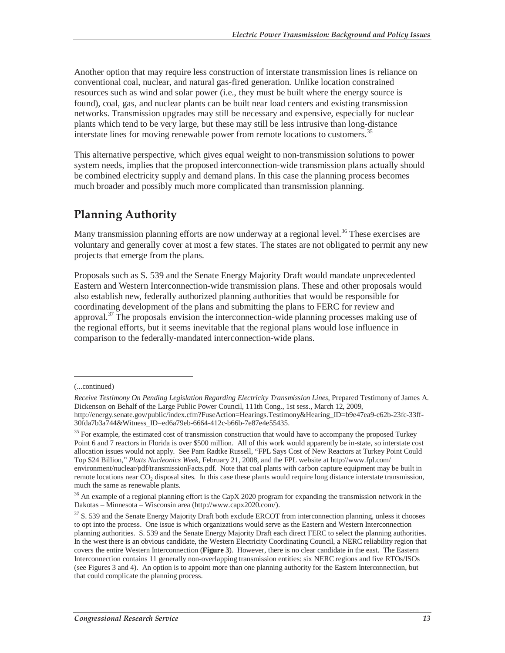Another option that may require less construction of interstate transmission lines is reliance on conventional coal, nuclear, and natural gas-fired generation. Unlike location constrained resources such as wind and solar power (i.e., they must be built where the energy source is found), coal, gas, and nuclear plants can be built near load centers and existing transmission networks. Transmission upgrades may still be necessary and expensive, especially for nuclear plants which tend to be very large, but these may still be less intrusive than long-distance interstate lines for moving renewable power from remote locations to customers.<sup>35</sup>

This alternative perspective, which gives equal weight to non-transmission solutions to power system needs, implies that the proposed interconnection-wide transmission plans actually should be combined electricity supply and demand plans. In this case the planning process becomes much broader and possibly much more complicated than transmission planning.

### **Planning Authority**

Many transmission planning efforts are now underway at a regional level.<sup>36</sup> These exercises are voluntary and generally cover at most a few states. The states are not obligated to permit any new projects that emerge from the plans.

Proposals such as S. 539 and the Senate Energy Majority Draft would mandate unprecedented Eastern and Western Interconnection-wide transmission plans. These and other proposals would also establish new, federally authorized planning authorities that would be responsible for coordinating development of the plans and submitting the plans to FERC for review and approval.<sup>37</sup> The proposals envision the interconnection-wide planning processes making use of the regional efforts, but it seems inevitable that the regional plans would lose influence in comparison to the federally-mandated interconnection-wide plans.

-

<sup>35</sup> For example, the estimated cost of transmission construction that would have to accompany the proposed Turkey Point 6 and 7 reactors in Florida is over \$500 million. All of this work would apparently be in-state, so interstate cost allocation issues would not apply. See Pam Radtke Russell, "FPL Says Cost of New Reactors at Turkey Point Could Top \$24 Billion," *Platts Nucleonics Week*, February 21, 2008, and the FPL website at http://www.fpl.com/ environment/nuclear/pdf/transmissionFacts.pdf. Note that coal plants with carbon capture equipment may be built in remote locations near  $CO<sub>2</sub>$  disposal sites. In this case these plants would require long distance interstate transmission, much the same as renewable plants.

<sup>(...</sup>continued)

*Receive Testimony On Pending Legislation Regarding Electricity Transmission Lines*, Prepared Testimony of James A. Dickenson on Behalf of the Large Public Power Council, 111th Cong., 1st sess., March 12, 2009, http://energy.senate.gov/public/index.cfm?FuseAction=Hearings.Testimony&Hearing\_ID=b9e47ea9-c62b-23fc-33ff-30fda7b3a744&Witness\_ID=ed6a79eb-6664-412c-b66b-7e87e4e55435.

<sup>&</sup>lt;sup>36</sup> An example of a regional planning effort is the CapX 2020 program for expanding the transmission network in the Dakotas – Minnesota – Wisconsin area (http://www.capx2020.com/).

<sup>&</sup>lt;sup>37</sup> S. 539 and the Senate Energy Majority Draft both exclude ERCOT from interconnection planning, unless it chooses to opt into the process. One issue is which organizations would serve as the Eastern and Western Interconnection planning authorities. S. 539 and the Senate Energy Majority Draft each direct FERC to select the planning authorities. In the west there is an obvious candidate, the Western Electricity Coordinating Council, a NERC reliability region that covers the entire Western Interconnection (**Figure 3**). However, there is no clear candidate in the east. The Eastern Interconnection contains 11 generally non-overlapping transmission entities: six NERC regions and five RTOs/ISOs (see Figures 3 and 4). An option is to appoint more than one planning authority for the Eastern Interconnection, but that could complicate the planning process.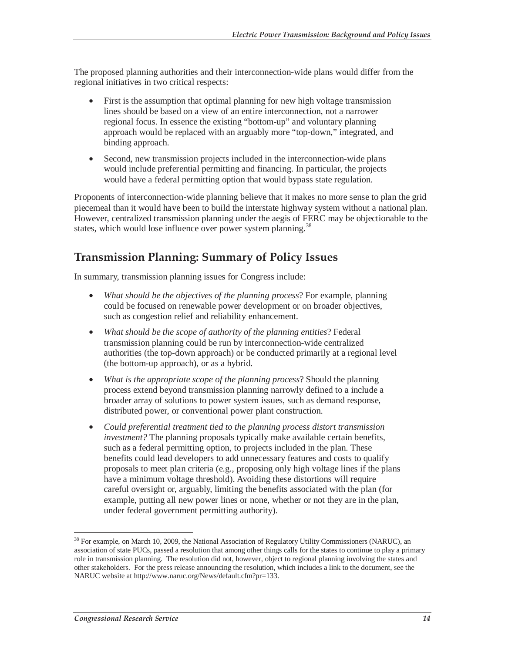The proposed planning authorities and their interconnection-wide plans would differ from the regional initiatives in two critical respects:

- First is the assumption that optimal planning for new high voltage transmission lines should be based on a view of an entire interconnection, not a narrower regional focus. In essence the existing "bottom-up" and voluntary planning approach would be replaced with an arguably more "top-down," integrated, and binding approach.
- Second, new transmission projects included in the interconnection-wide plans would include preferential permitting and financing. In particular, the projects would have a federal permitting option that would bypass state regulation.

Proponents of interconnection-wide planning believe that it makes no more sense to plan the grid piecemeal than it would have been to build the interstate highway system without a national plan. However, centralized transmission planning under the aegis of FERC may be objectionable to the states, which would lose influence over power system planning.<sup>38</sup>

#### **Transmission Planning: Summary of Policy Issues**

In summary, transmission planning issues for Congress include:

- *What should be the objectives of the planning process*? For example, planning could be focused on renewable power development or on broader objectives, such as congestion relief and reliability enhancement.
- *What should be the scope of authority of the planning entities*? Federal transmission planning could be run by interconnection-wide centralized authorities (the top-down approach) or be conducted primarily at a regional level (the bottom-up approach), or as a hybrid.
- *What is the appropriate scope of the planning process*? Should the planning process extend beyond transmission planning narrowly defined to a include a broader array of solutions to power system issues, such as demand response, distributed power, or conventional power plant construction.
- *Could preferential treatment tied to the planning process distort transmission investment?* The planning proposals typically make available certain benefits, such as a federal permitting option, to projects included in the plan. These benefits could lead developers to add unnecessary features and costs to qualify proposals to meet plan criteria (e.g., proposing only high voltage lines if the plans have a minimum voltage threshold). Avoiding these distortions will require careful oversight or, arguably, limiting the benefits associated with the plan (for example, putting all new power lines or none, whether or not they are in the plan, under federal government permitting authority).

<sup>&</sup>lt;sup>38</sup> For example, on March 10, 2009, the National Association of Regulatory Utility Commissioners (NARUC), an association of state PUCs, passed a resolution that among other things calls for the states to continue to play a primary role in transmission planning. The resolution did not, however, object to regional planning involving the states and other stakeholders. For the press release announcing the resolution, which includes a link to the document, see the NARUC website at http://www.naruc.org/News/default.cfm?pr=133.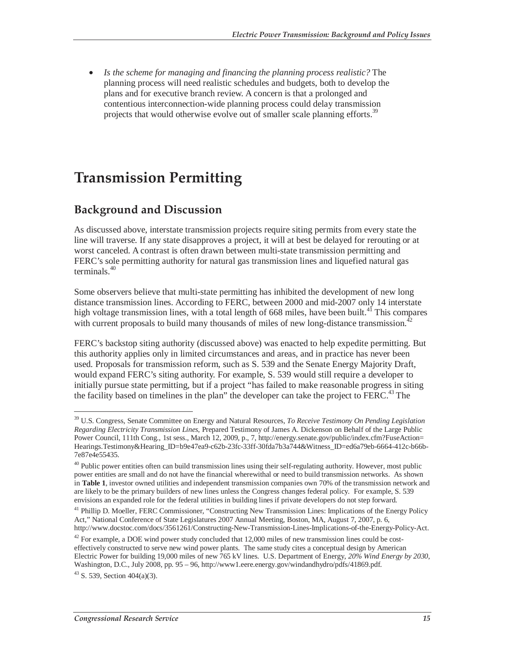• *Is the scheme for managing and financing the planning process realistic?* The planning process will need realistic schedules and budgets, both to develop the plans and for executive branch review. A concern is that a prolonged and contentious interconnection-wide planning process could delay transmission projects that would otherwise evolve out of smaller scale planning efforts.<sup>39</sup>

## **Transmission Permitting**

#### **Background and Discussion**

As discussed above, interstate transmission projects require siting permits from every state the line will traverse. If any state disapproves a project, it will at best be delayed for rerouting or at worst canceled. A contrast is often drawn between multi-state transmission permitting and FERC's sole permitting authority for natural gas transmission lines and liquefied natural gas terminals.<sup>40</sup>

Some observers believe that multi-state permitting has inhibited the development of new long distance transmission lines. According to FERC, between 2000 and mid-2007 only 14 interstate high voltage transmission lines, with a total length of 668 miles, have been built.<sup>41</sup> This compares with current proposals to build many thousands of miles of new long-distance transmission.<sup> $42$ </sup>

FERC's backstop siting authority (discussed above) was enacted to help expedite permitting. But this authority applies only in limited circumstances and areas, and in practice has never been used. Proposals for transmission reform, such as S. 539 and the Senate Energy Majority Draft, would expand FERC's siting authority. For example, S. 539 would still require a developer to initially pursue state permitting, but if a project "has failed to make reasonable progress in siting the facility based on timelines in the plan" the developer can take the project to  $FERC<sup>43</sup>$  The

<sup>39</sup> U.S. Congress, Senate Committee on Energy and Natural Resources, *To Receive Testimony On Pending Legislation Regarding Electricity Transmission Lines*, Prepared Testimony of James A. Dickenson on Behalf of the Large Public Power Council, 111th Cong., 1st sess., March 12, 2009, p., 7, http://energy.senate.gov/public/index.cfm?FuseAction= Hearings.Testimony&Hearing\_ID=b9e47ea9-c62b-23fc-33ff-30fda7b3a744&Witness\_ID=ed6a79eb-6664-412c-b66b-7e87e4e55435.

<sup>&</sup>lt;sup>40</sup> Public power entities often can build transmission lines using their self-regulating authority. However, most public power entities are small and do not have the financial wherewithal or need to build transmission networks. As shown in **Table 1**, investor owned utilities and independent transmission companies own 70% of the transmission network and are likely to be the primary builders of new lines unless the Congress changes federal policy. For example, S. 539 envisions an expanded role for the federal utilities in building lines if private developers do not step forward.

<sup>&</sup>lt;sup>41</sup> Phillip D. Moeller, FERC Commissioner, "Constructing New Transmission Lines: Implications of the Energy Policy Act," National Conference of State Legislatures 2007 Annual Meeting, Boston, MA, August 7, 2007, p. 6, http://www.docstoc.com/docs/3561261/Constructing-New-Transmission-Lines-Implications-of-the-Energy-Policy-Act.

 $42$  For example, a DOE wind power study concluded that 12,000 miles of new transmission lines could be costeffectively constructed to serve new wind power plants. The same study cites a conceptual design by American Electric Power for building 19,000 miles of new 765 kV lines. U.S. Department of Energy, *20% Wind Energy by 2030*, Washington, D.C., July 2008, pp. 95 – 96, http://www1.eere.energy.gov/windandhydro/pdfs/41869.pdf.

 $43$  S. 539, Section 404(a)(3).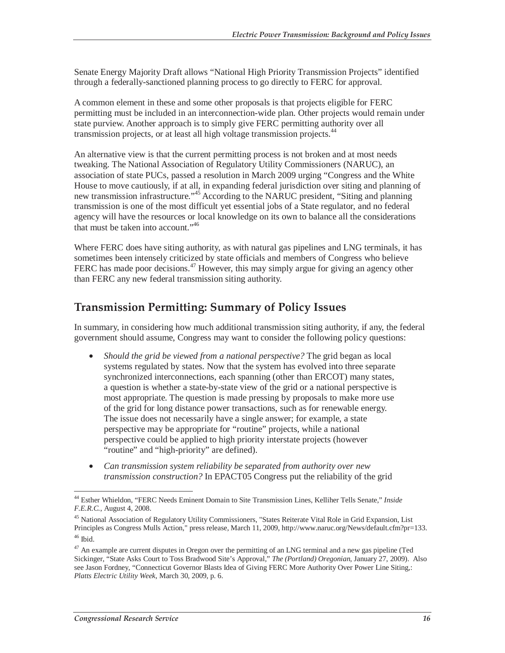Senate Energy Majority Draft allows "National High Priority Transmission Projects" identified through a federally-sanctioned planning process to go directly to FERC for approval.

A common element in these and some other proposals is that projects eligible for FERC permitting must be included in an interconnection-wide plan. Other projects would remain under state purview. Another approach is to simply give FERC permitting authority over all transmission projects, or at least all high voltage transmission projects.<sup>44</sup>

An alternative view is that the current permitting process is not broken and at most needs tweaking. The National Association of Regulatory Utility Commissioners (NARUC), an association of state PUCs, passed a resolution in March 2009 urging "Congress and the White House to move cautiously, if at all, in expanding federal jurisdiction over siting and planning of new transmission infrastructure."<sup>45</sup> According to the NARUC president, "Siting and planning transmission is one of the most difficult yet essential jobs of a State regulator, and no federal agency will have the resources or local knowledge on its own to balance all the considerations that must be taken into account."46

Where FERC does have siting authority, as with natural gas pipelines and LNG terminals, it has sometimes been intensely criticized by state officials and members of Congress who believe FERC has made poor decisions.<sup>47</sup> However, this may simply argue for giving an agency other than FERC any new federal transmission siting authority.

#### **Transmission Permitting: Summary of Policy Issues**

In summary, in considering how much additional transmission siting authority, if any, the federal government should assume, Congress may want to consider the following policy questions:

- *Should the grid be viewed from a national perspective?* The grid began as local systems regulated by states. Now that the system has evolved into three separate synchronized interconnections, each spanning (other than ERCOT) many states, a question is whether a state-by-state view of the grid or a national perspective is most appropriate. The question is made pressing by proposals to make more use of the grid for long distance power transactions, such as for renewable energy. The issue does not necessarily have a single answer; for example, a state perspective may be appropriate for "routine" projects, while a national perspective could be applied to high priority interstate projects (however "routine" and "high-priority" are defined).
- *Can transmission system reliability be separated from authority over new transmission construction?* In EPACT05 Congress put the reliability of the grid

<sup>-</sup>44 Esther Whieldon, "FERC Needs Eminent Domain to Site Transmission Lines, Kelliher Tells Senate," *Inside F.E.R.C.*, August 4, 2008.

<sup>&</sup>lt;sup>45</sup> National Association of Regulatory Utility Commissioners, "States Reiterate Vital Role in Grid Expansion, List Principles as Congress Mulls Action," press release, March 11, 2009, http://www.naruc.org/News/default.cfm?pr=133.  $46$  Ibid.

<sup>&</sup>lt;sup>47</sup> An example are current disputes in Oregon over the permitting of an LNG terminal and a new gas pipeline (Ted Sickinger, "State Asks Court to Toss Bradwood Site's Approval," *The (Portland) Oregonian*, January 27, 2009). Also see Jason Fordney, "Connecticut Governor Blasts Idea of Giving FERC More Authority Over Power Line Siting,: *Platts Electric Utility Week*, March 30, 2009, p. 6.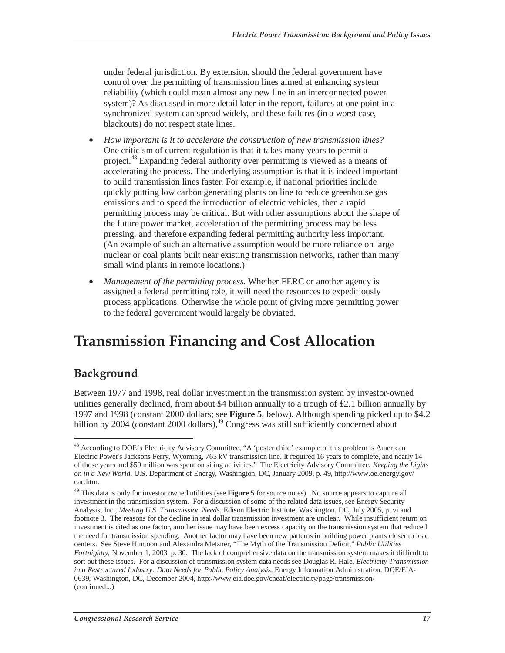under federal jurisdiction. By extension, should the federal government have control over the permitting of transmission lines aimed at enhancing system reliability (which could mean almost any new line in an interconnected power system)? As discussed in more detail later in the report, failures at one point in a synchronized system can spread widely, and these failures (in a worst case, blackouts) do not respect state lines.

- *How important is it to accelerate the construction of new transmission lines?*  One criticism of current regulation is that it takes many years to permit a project.48 Expanding federal authority over permitting is viewed as a means of accelerating the process. The underlying assumption is that it is indeed important to build transmission lines faster. For example, if national priorities include quickly putting low carbon generating plants on line to reduce greenhouse gas emissions and to speed the introduction of electric vehicles, then a rapid permitting process may be critical. But with other assumptions about the shape of the future power market, acceleration of the permitting process may be less pressing, and therefore expanding federal permitting authority less important. (An example of such an alternative assumption would be more reliance on large nuclear or coal plants built near existing transmission networks, rather than many small wind plants in remote locations.)
- *Management of the permitting process*. Whether FERC or another agency is assigned a federal permitting role, it will need the resources to expeditiously process applications. Otherwise the whole point of giving more permitting power to the federal government would largely be obviated.

## **Transmission Financing and Cost Allocation**

#### **Background**

Between 1977 and 1998, real dollar investment in the transmission system by investor-owned utilities generally declined, from about \$4 billion annually to a trough of \$2.1 billion annually by 1997 and 1998 (constant 2000 dollars; see **Figure 5**, below). Although spending picked up to \$4.2 billion by 2004 (constant 2000 dollars),  $49$  Congress was still sufficiently concerned about

<sup>-</sup><sup>48</sup> According to DOE's Electricity Advisory Committee, "A 'poster child' example of this problem is American Electric Power's Jacksons Ferry, Wyoming, 765 kV transmission line. It required 16 years to complete, and nearly 14 of those years and \$50 million was spent on siting activities." The Electricity Advisory Committee, *Keeping the Lights on in a New World,* U.S. Department of Energy, Washington, DC, January 2009, p. 49, http://www.oe.energy.gov/ eac.htm.

<sup>49</sup> This data is only for investor owned utilities (see **Figure 5** for source notes). No source appears to capture all investment in the transmission system. For a discussion of some of the related data issues, see Energy Security Analysis, Inc., *Meeting U.S. Transmission Needs*, Edison Electric Institute, Washington, DC, July 2005, p. vi and footnote 3. The reasons for the decline in real dollar transmission investment are unclear. While insufficient return on investment is cited as one factor, another issue may have been excess capacity on the transmission system that reduced the need for transmission spending. Another factor may have been new patterns in building power plants closer to load centers. See Steve Huntoon and Alexandra Metzner, "The Myth of the Transmission Deficit," *Public Utilities Fortnightly*, November 1, 2003, p. 30. The lack of comprehensive data on the transmission system makes it difficult to sort out these issues. For a discussion of transmission system data needs see Douglas R. Hale, *Electricity Transmission in a Restructured Industry: Data Needs for Public Policy Analysis*, Energy Information Administration, DOE/EIA-0639, Washington, DC, December 2004, http://www.eia.doe.gov/cneaf/electricity/page/transmission/ (continued...)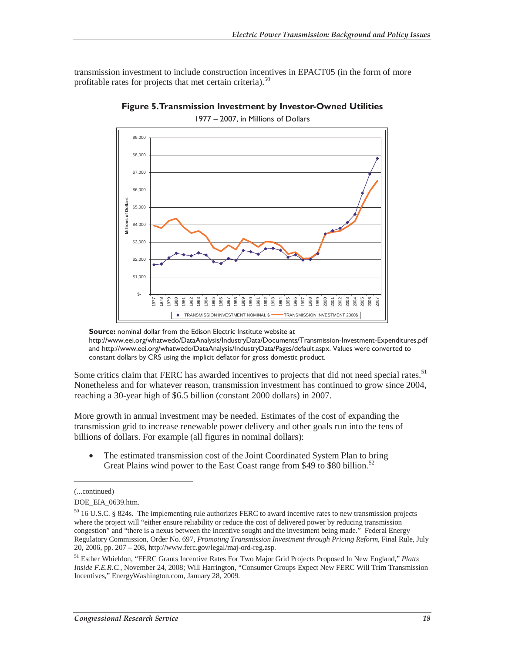transmission investment to include construction incentives in EPACT05 (in the form of more profitable rates for projects that met certain criteria). $50$ 



**Figure 5. Transmission Investment by Investor-Owned Utilities** 

1977 – 2007, in Millions of Dollars

**Source:** nominal dollar from the Edison Electric Institute website at

http://www.eei.org/whatwedo/DataAnalysis/IndustryData/Documents/Transmission-Investment-Expenditures.pdf and http://www.eei.org/whatwedo/DataAnalysis/IndustryData/Pages/default.aspx. Values were converted to constant dollars by CRS using the implicit deflator for gross domestic product.

Some critics claim that FERC has awarded incentives to projects that did not need special rates.<sup>51</sup> Nonetheless and for whatever reason, transmission investment has continued to grow since 2004, reaching a 30-year high of \$6.5 billion (constant 2000 dollars) in 2007.

More growth in annual investment may be needed. Estimates of the cost of expanding the transmission grid to increase renewable power delivery and other goals run into the tens of billions of dollars. For example (all figures in nominal dollars):

• The estimated transmission cost of the Joint Coordinated System Plan to bring Great Plains wind power to the East Coast range from \$49 to \$80 billion.<sup>52</sup>

<sup>(...</sup>continued)

DOE\_EIA\_0639.htm.

<sup>50 16</sup> U.S.C. § 824s. The implementing rule authorizes FERC to award incentive rates to new transmission projects where the project will "either ensure reliability or reduce the cost of delivered power by reducing transmission congestion" and "there is a nexus between the incentive sought and the investment being made." Federal Energy Regulatory Commission, Order No. 697, *Promoting Transmission Investment through Pricing Reform*, Final Rule, July 20, 2006, pp. 207 – 208, http://www.ferc.gov/legal/maj-ord-reg.asp.

<sup>51</sup> Esther Whieldon, "FERC Grants Incentive Rates For Two Major Grid Projects Proposed In New England," *Platts Inside F.E.R.C.*, November 24, 2008; Will Harrington, "Consumer Groups Expect New FERC Will Trim Transmission Incentives," EnergyWashington.com, January 28, 2009.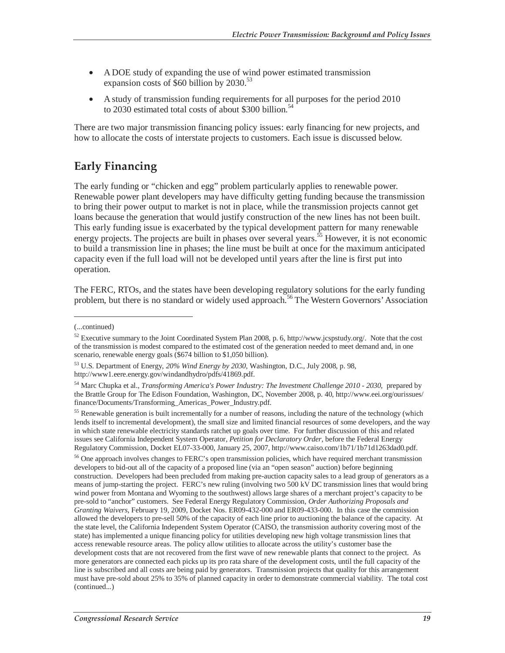- A DOE study of expanding the use of wind power estimated transmission expansion costs of  $$60$  billion by  $2030.<sup>53</sup>$
- A study of transmission funding requirements for all purposes for the period 2010 to 2030 estimated total costs of about \$300 billion.<sup>54</sup>

There are two major transmission financing policy issues: early financing for new projects, and how to allocate the costs of interstate projects to customers. Each issue is discussed below.

### **Early Financing**

The early funding or "chicken and egg" problem particularly applies to renewable power. Renewable power plant developers may have difficulty getting funding because the transmission to bring their power output to market is not in place, while the transmission projects cannot get loans because the generation that would justify construction of the new lines has not been built. This early funding issue is exacerbated by the typical development pattern for many renewable energy projects. The projects are built in phases over several years.<sup>55</sup> However, it is not economic to build a transmission line in phases; the line must be built at once for the maximum anticipated capacity even if the full load will not be developed until years after the line is first put into operation.

The FERC, RTOs, and the states have been developing regulatory solutions for the early funding problem, but there is no standard or widely used approach.<sup>56</sup> The Western Governors' Association

-

<sup>56</sup> One approach involves changes to FERC's open transmission policies, which have required merchant transmission developers to bid-out all of the capacity of a proposed line (via an "open season" auction) before beginning construction. Developers had been precluded from making pre-auction capacity sales to a lead group of generators as a means of jump-starting the project. FERC's new ruling (involving two 500 kV DC transmission lines that would bring wind power from Montana and Wyoming to the southwest) allows large shares of a merchant project's capacity to be pre-sold to "anchor" customers. See Federal Energy Regulatory Commission, *Order Authorizing Proposals and Granting Waivers*, February 19, 2009, Docket Nos. ER09-432-000 and ER09-433-000. In this case the commission allowed the developers to pre-sell 50% of the capacity of each line prior to auctioning the balance of the capacity. At the state level, the California Independent System Operator (CAISO, the transmission authority covering most of the state) has implemented a unique financing policy for utilities developing new high voltage transmission lines that access renewable resource areas. The policy allow utilities to allocate across the utility's customer base the development costs that are not recovered from the first wave of new renewable plants that connect to the project. As more generators are connected each picks up its pro rata share of the development costs, until the full capacity of the line is subscribed and all costs are being paid by generators. Transmission projects that quality for this arrangement must have pre-sold about 25% to 35% of planned capacity in order to demonstrate commercial viability. The total cost (continued...)

<sup>(...</sup>continued)

<sup>52</sup> Executive summary to the Joint Coordinated System Plan 2008, p. 6, http://www.jcspstudy.org/. Note that the cost of the transmission is modest compared to the estimated cost of the generation needed to meet demand and, in one scenario, renewable energy goals (\$674 billion to \$1,050 billion).

<sup>53</sup> U.S. Department of Energy, *20% Wind Energy by 2030*, Washington, D.C., July 2008, p. 98, http://www1.eere.energy.gov/windandhydro/pdfs/41869.pdf.

<sup>54</sup> Marc Chupka et al., *Transforming America's Power Industry: The Investment Challenge 2010 - 2030*, prepared by the Brattle Group for The Edison Foundation, Washington, DC, November 2008, p. 40, http://www.eei.org/ourissues/ finance/Documents/Transforming\_Americas\_Power\_Industry.pdf.

<sup>&</sup>lt;sup>55</sup> Renewable generation is built incrementally for a number of reasons, including the nature of the technology (which lends itself to incremental development), the small size and limited financial resources of some developers, and the way in which state renewable electricity standards ratchet up goals over time. For further discussion of this and related issues see California Independent System Operator, *Petition for Declaratory Order*, before the Federal Energy Regulatory Commission, Docket EL07-33-000, January 25, 2007, http://www.caiso.com/1b71/1b71d1263dad0.pdf.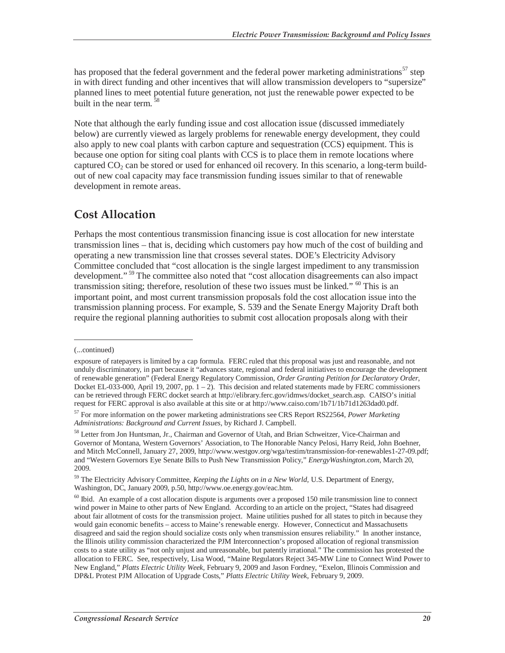has proposed that the federal government and the federal power marketing administrations<sup>57</sup> step in with direct funding and other incentives that will allow transmission developers to "supersize" planned lines to meet potential future generation, not just the renewable power expected to be built in the near term.<sup>5</sup>

Note that although the early funding issue and cost allocation issue (discussed immediately below) are currently viewed as largely problems for renewable energy development, they could also apply to new coal plants with carbon capture and sequestration (CCS) equipment. This is because one option for siting coal plants with CCS is to place them in remote locations where captured  $CO<sub>2</sub>$  can be stored or used for enhanced oil recovery. In this scenario, a long-term buildout of new coal capacity may face transmission funding issues similar to that of renewable development in remote areas.

#### **Cost Allocation**

Perhaps the most contentious transmission financing issue is cost allocation for new interstate transmission lines – that is, deciding which customers pay how much of the cost of building and operating a new transmission line that crosses several states. DOE's Electricity Advisory Committee concluded that "cost allocation is the single largest impediment to any transmission development."<sup>59</sup> The committee also noted that "cost allocation disagreements can also impact transmission siting; therefore, resolution of these two issues must be linked."  $60$  This is an important point, and most current transmission proposals fold the cost allocation issue into the transmission planning process. For example, S. 539 and the Senate Energy Majority Draft both require the regional planning authorities to submit cost allocation proposals along with their

<sup>(...</sup>continued)

exposure of ratepayers is limited by a cap formula. FERC ruled that this proposal was just and reasonable, and not unduly discriminatory, in part because it "advances state, regional and federal initiatives to encourage the development of renewable generation" (Federal Energy Regulatory Commission, *Order Granting Petition for Declaratory Order*, Docket EL-033-000, April 19, 2007, pp.  $1 - 2$ ). This decision and related statements made by FERC commissioners can be retrieved through FERC docket search at http://elibrary.ferc.gov/idmws/docket\_search.asp. CAISO's initial request for FERC approval is also available at this site or at http://www.caiso.com/1b71/1b71d1263dad0.pdf.

<sup>57</sup> For more information on the power marketing administrations see CRS Report RS22564, *Power Marketing Administrations: Background and Current Issues*, by Richard J. Campbell.

<sup>58</sup> Letter from Jon Huntsman, Jr., Chairman and Governor of Utah, and Brian Schweitzer, Vice-Chairman and Governor of Montana, Western Governors' Association, to The Honorable Nancy Pelosi, Harry Reid, John Boehner, and Mitch McConnell, January 27, 2009, http://www.westgov.org/wga/testim/transmission-for-renewables1-27-09.pdf; and "Western Governors Eye Senate Bills to Push New Transmission Policy," *EnergyWashington.com*, March 20, 2009.

<sup>59</sup> The Electricity Advisory Committee, *Keeping the Lights on in a New World,* U.S. Department of Energy, Washington, DC, January 2009, p.50, http://www.oe.energy.gov/eac.htm.

 $60$  Ibid. An example of a cost allocation dispute is arguments over a proposed 150 mile transmission line to connect wind power in Maine to other parts of New England. According to an article on the project, "States had disagreed about fair allotment of costs for the transmission project. Maine utilities pushed for all states to pitch in because they would gain economic benefits – access to Maine's renewable energy. However, Connecticut and Massachusetts disagreed and said the region should socialize costs only when transmission ensures reliability." In another instance, the Illinois utility commission characterized the PJM Interconnection's proposed allocation of regional transmission costs to a state utility as "not only unjust and unreasonable, but patently irrational." The commission has protested the allocation to FERC. See, respectively, Lisa Wood, "Maine Regulators Reject 345-MW Line to Connect Wind Power to New England," *Platts Electric Utility Week*, February 9, 2009 and Jason Fordney, "Exelon, Illinois Commission and DP&L Protest PJM Allocation of Upgrade Costs," *Platts Electric Utility Week*, February 9, 2009.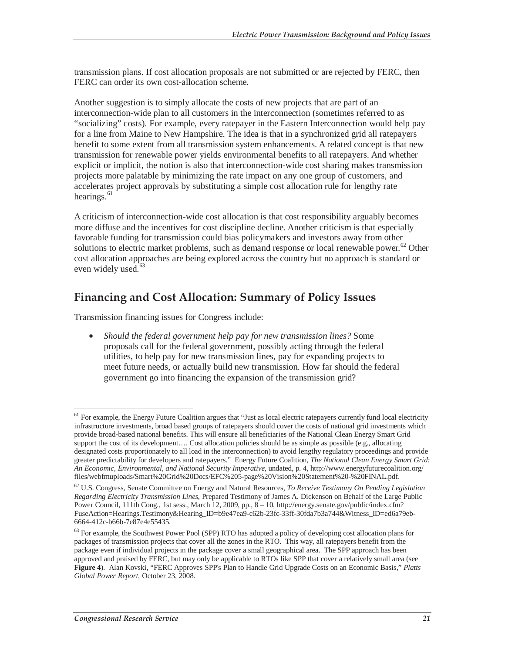transmission plans. If cost allocation proposals are not submitted or are rejected by FERC, then FERC can order its own cost-allocation scheme.

Another suggestion is to simply allocate the costs of new projects that are part of an interconnection-wide plan to all customers in the interconnection (sometimes referred to as "socializing" costs). For example, every ratepayer in the Eastern Interconnection would help pay for a line from Maine to New Hampshire. The idea is that in a synchronized grid all ratepayers benefit to some extent from all transmission system enhancements. A related concept is that new transmission for renewable power yields environmental benefits to all ratepayers. And whether explicit or implicit, the notion is also that interconnection-wide cost sharing makes transmission projects more palatable by minimizing the rate impact on any one group of customers, and accelerates project approvals by substituting a simple cost allocation rule for lengthy rate hearings.<sup>61</sup>

A criticism of interconnection-wide cost allocation is that cost responsibility arguably becomes more diffuse and the incentives for cost discipline decline. Another criticism is that especially favorable funding for transmission could bias policymakers and investors away from other solutions to electric market problems, such as demand response or local renewable power.<sup>62</sup> Other cost allocation approaches are being explored across the country but no approach is standard or even widely used.<sup>63</sup>

#### **Financing and Cost Allocation: Summary of Policy Issues**

Transmission financing issues for Congress include:

• *Should the federal government help pay for new transmission lines?* Some proposals call for the federal government, possibly acting through the federal utilities, to help pay for new transmission lines, pay for expanding projects to meet future needs, or actually build new transmission. How far should the federal government go into financing the expansion of the transmission grid?

<sup>&</sup>lt;sup>61</sup> For example, the Energy Future Coalition argues that "Just as local electric ratepayers currently fund local electricity infrastructure investments, broad based groups of ratepayers should cover the costs of national grid investments which provide broad-based national benefits. This will ensure all beneficiaries of the National Clean Energy Smart Grid support the cost of its development.... Cost allocation policies should be as simple as possible (e.g., allocating designated costs proportionately to all load in the interconnection) to avoid lengthy regulatory proceedings and provide greater predictability for developers and ratepayers." Energy Future Coalition, *The National Clean Energy Smart Grid: An Economic, Environmental, and National Security Imperative*, undated, p. 4, http://www.energyfuturecoalition.org/ files/webfmuploads/Smart%20Grid%20Docs/EFC%205-page%20Vision%20Statement%20-%20FINAL.pdf.

<sup>62</sup> U.S. Congress, Senate Committee on Energy and Natural Resources, *To Receive Testimony On Pending Legislation Regarding Electricity Transmission Lines*, Prepared Testimony of James A. Dickenson on Behalf of the Large Public Power Council, 111th Cong., 1st sess., March 12, 2009, pp., 8 – 10, http://energy.senate.gov/public/index.cfm? FuseAction=Hearings.Testimony&Hearing\_ID=b9e47ea9-c62b-23fc-33ff-30fda7b3a744&Witness\_ID=ed6a79eb-6664-412c-b66b-7e87e4e55435.

<sup>&</sup>lt;sup>63</sup> For example, the Southwest Power Pool (SPP) RTO has adopted a policy of developing cost allocation plans for packages of transmission projects that cover all the zones in the RTO. This way, all ratepayers benefit from the package even if individual projects in the package cover a small geographical area. The SPP approach has been approved and praised by FERC, but may only be applicable to RTOs like SPP that cover a relatively small area (see **Figure 4**). Alan Kovski, "FERC Approves SPP's Plan to Handle Grid Upgrade Costs on an Economic Basis," *Platts Global Power Report*, October 23, 2008.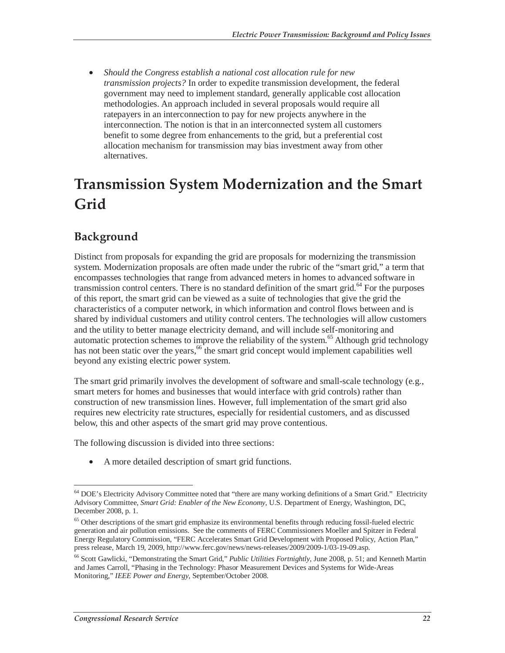• *Should the Congress establish a national cost allocation rule for new transmission projects?* In order to expedite transmission development, the federal government may need to implement standard, generally applicable cost allocation methodologies. An approach included in several proposals would require all ratepayers in an interconnection to pay for new projects anywhere in the interconnection. The notion is that in an interconnected system all customers benefit to some degree from enhancements to the grid, but a preferential cost allocation mechanism for transmission may bias investment away from other alternatives.

## **Transmission System Modernization and the Smart Grid**

### **Background**

Distinct from proposals for expanding the grid are proposals for modernizing the transmission system. Modernization proposals are often made under the rubric of the "smart grid," a term that encompasses technologies that range from advanced meters in homes to advanced software in transmission control centers. There is no standard definition of the smart grid.<sup>64</sup> For the purposes of this report, the smart grid can be viewed as a suite of technologies that give the grid the characteristics of a computer network, in which information and control flows between and is shared by individual customers and utility control centers. The technologies will allow customers and the utility to better manage electricity demand, and will include self-monitoring and automatic protection schemes to improve the reliability of the system.<sup>65</sup> Although grid technology has not been static over the years,<sup>66</sup> the smart grid concept would implement capabilities well beyond any existing electric power system.

The smart grid primarily involves the development of software and small-scale technology (e.g., smart meters for homes and businesses that would interface with grid controls) rather than construction of new transmission lines. However, full implementation of the smart grid also requires new electricity rate structures, especially for residential customers, and as discussed below, this and other aspects of the smart grid may prove contentious.

The following discussion is divided into three sections:

• A more detailed description of smart grid functions.

 $\overline{a}$ <sup>64</sup> DOE's Electricity Advisory Committee noted that "there are many working definitions of a Smart Grid." Electricity Advisory Committee, *Smart Grid: Enabler of the New Economy*, U.S. Department of Energy, Washington, DC, December 2008, p. 1.

<sup>&</sup>lt;sup>65</sup> Other descriptions of the smart grid emphasize its environmental benefits through reducing fossil-fueled electric generation and air pollution emissions. See the comments of FERC Commissioners Moeller and Spitzer in Federal Energy Regulatory Commission, "FERC Accelerates Smart Grid Development with Proposed Policy, Action Plan," press release, March 19, 2009, http://www.ferc.gov/news/news-releases/2009/2009-1/03-19-09.asp.

<sup>66</sup> Scott Gawlicki, "Demonstrating the Smart Grid," *Public Utilities Fortnightly*, June 2008, p. 51; and Kenneth Martin and James Carroll, "Phasing in the Technology: Phasor Measurement Devices and Systems for Wide-Areas Monitoring," *IEEE Power and Energy*, September/October 2008.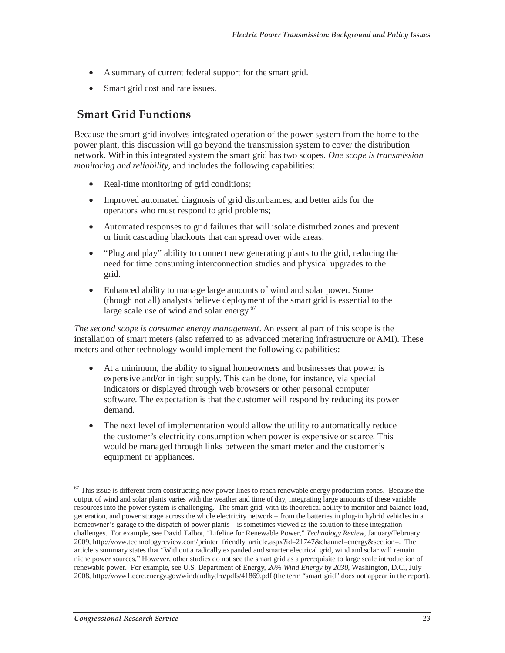- A summary of current federal support for the smart grid.
- Smart grid cost and rate issues.

#### **Smart Grid Functions**

Because the smart grid involves integrated operation of the power system from the home to the power plant, this discussion will go beyond the transmission system to cover the distribution network. Within this integrated system the smart grid has two scopes. *One scope is transmission monitoring and reliability*, and includes the following capabilities:

- Real-time monitoring of grid conditions;
- Improved automated diagnosis of grid disturbances, and better aids for the operators who must respond to grid problems;
- Automated responses to grid failures that will isolate disturbed zones and prevent or limit cascading blackouts that can spread over wide areas.
- "Plug and play" ability to connect new generating plants to the grid, reducing the need for time consuming interconnection studies and physical upgrades to the grid.
- Enhanced ability to manage large amounts of wind and solar power. Some (though not all) analysts believe deployment of the smart grid is essential to the large scale use of wind and solar energy.<sup>67</sup>

*The second scope is consumer energy management*. An essential part of this scope is the installation of smart meters (also referred to as advanced metering infrastructure or AMI). These meters and other technology would implement the following capabilities:

- At a minimum, the ability to signal homeowners and businesses that power is expensive and/or in tight supply. This can be done, for instance, via special indicators or displayed through web browsers or other personal computer software. The expectation is that the customer will respond by reducing its power demand.
- The next level of implementation would allow the utility to automatically reduce the customer's electricity consumption when power is expensive or scarce. This would be managed through links between the smart meter and the customer's equipment or appliances.

<sup>-</sup> $67$  This issue is different from constructing new power lines to reach renewable energy production zones. Because the output of wind and solar plants varies with the weather and time of day, integrating large amounts of these variable resources into the power system is challenging. The smart grid, with its theoretical ability to monitor and balance load, generation, and power storage across the whole electricity network – from the batteries in plug-in hybrid vehicles in a homeowner's garage to the dispatch of power plants – is sometimes viewed as the solution to these integration challenges. For example, see David Talbot, "Lifeline for Renewable Power," *Technology Review*, January/February 2009, http://www.technologyreview.com/printer\_friendly\_article.aspx?id=21747&channel=energy&section=. The article's summary states that "Without a radically expanded and smarter electrical grid, wind and solar will remain niche power sources." However, other studies do not see the smart grid as a prerequisite to large scale introduction of renewable power. For example, see U.S. Department of Energy, *20% Wind Energy by 2030*, Washington, D.C., July 2008, http://www1.eere.energy.gov/windandhydro/pdfs/41869.pdf (the term "smart grid" does not appear in the report).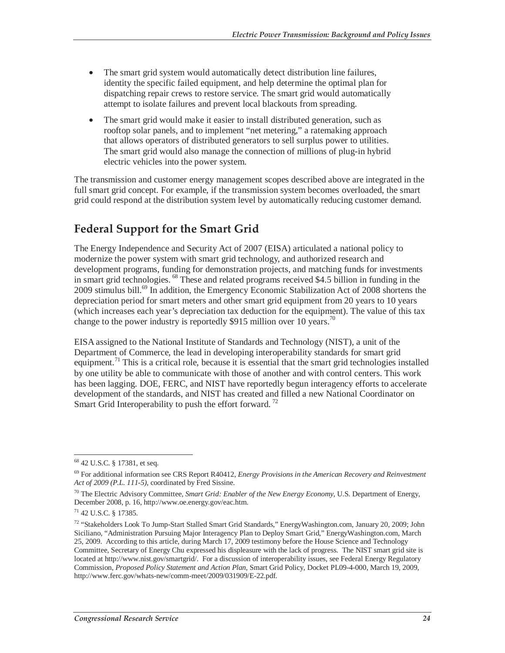- The smart grid system would automatically detect distribution line failures, identity the specific failed equipment, and help determine the optimal plan for dispatching repair crews to restore service. The smart grid would automatically attempt to isolate failures and prevent local blackouts from spreading.
- The smart grid would make it easier to install distributed generation, such as rooftop solar panels, and to implement "net metering," a ratemaking approach that allows operators of distributed generators to sell surplus power to utilities. The smart grid would also manage the connection of millions of plug-in hybrid electric vehicles into the power system.

The transmission and customer energy management scopes described above are integrated in the full smart grid concept. For example, if the transmission system becomes overloaded, the smart grid could respond at the distribution system level by automatically reducing customer demand.

### **Federal Support for the Smart Grid**

The Energy Independence and Security Act of 2007 (EISA) articulated a national policy to modernize the power system with smart grid technology, and authorized research and development programs, funding for demonstration projects, and matching funds for investments in smart grid technologies. <sup>68</sup> These and related programs received \$4.5 billion in funding in the 2009 stimulus bill.<sup>69</sup> In addition, the Emergency Economic Stabilization Act of 2008 shortens the depreciation period for smart meters and other smart grid equipment from 20 years to 10 years (which increases each year's depreciation tax deduction for the equipment). The value of this tax change to the power industry is reportedly \$915 million over 10 years.<sup>70</sup>

EISA assigned to the National Institute of Standards and Technology (NIST), a unit of the Department of Commerce, the lead in developing interoperability standards for smart grid equipment.<sup>71</sup> This is a critical role, because it is essential that the smart grid technologies installed by one utility be able to communicate with those of another and with control centers. This work has been lagging. DOE, FERC, and NIST have reportedly begun interagency efforts to accelerate development of the standards, and NIST has created and filled a new National Coordinator on Smart Grid Interoperability to push the effort forward.<sup>72</sup>

<sup>-</sup>68 42 U.S.C. § 17381, et seq.

<sup>69</sup> For additional information see CRS Report R40412, *Energy Provisions in the American Recovery and Reinvestment Act of 2009 (P.L. 111-5)*, coordinated by Fred Sissine.

<sup>70</sup> The Electric Advisory Committee, *Smart Grid: Enabler of the New Energy Economy*, U.S. Department of Energy, December 2008, p. 16, http://www.oe.energy.gov/eac.htm.

<sup>71 42</sup> U.S.C. § 17385.

<sup>&</sup>lt;sup>72</sup> "Stakeholders Look To Jump-Start Stalled Smart Grid Standards," EnergyWashington.com, January 20, 2009; John Siciliano, "Administration Pursuing Major Interagency Plan to Deploy Smart Grid," EnergyWashington.com, March 25, 2009. According to this article, during March 17, 2009 testimony before the House Science and Technology Committee, Secretary of Energy Chu expressed his displeasure with the lack of progress. The NIST smart grid site is located at http://www.nist.gov/smartgrid/. For a discussion of interoperability issues, see Federal Energy Regulatory Commission, *Proposed Policy Statement and Action Plan*, Smart Grid Policy, Docket PL09-4-000, March 19, 2009, http://www.ferc.gov/whats-new/comm-meet/2009/031909/E-22.pdf.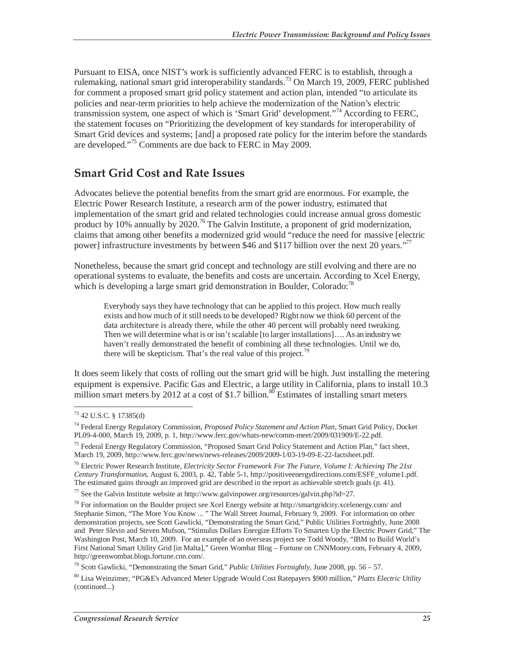Pursuant to EISA, once NIST's work is sufficiently advanced FERC is to establish, through a rulemaking, national smart grid interoperability standards.<sup>73</sup> On March 19, 2009, FERC published for comment a proposed smart grid policy statement and action plan, intended "to articulate its policies and near-term priorities to help achieve the modernization of the Nation's electric transmission system, one aspect of which is 'Smart Grid' development."<sup>74</sup> According to FERC, the statement focuses on "Prioritizing the development of key standards for interoperability of Smart Grid devices and systems; [and] a proposed rate policy for the interim before the standards are developed."<sup>75</sup> Comments are due back to FERC in May 2009.

#### **Smart Grid Cost and Rate Issues**

Advocates believe the potential benefits from the smart grid are enormous. For example, the Electric Power Research Institute, a research arm of the power industry, estimated that implementation of the smart grid and related technologies could increase annual gross domestic product by 10% annually by  $2020$ .<sup>76</sup> The Galvin Institute, a proponent of grid modernization, claims that among other benefits a modernized grid would "reduce the need for massive [electric power] infrastructure investments by between \$46 and \$117 billion over the next 20 years."<sup>77</sup>

Nonetheless, because the smart grid concept and technology are still evolving and there are no operational systems to evaluate, the benefits and costs are uncertain. According to Xcel Energy, which is developing a large smart grid demonstration in Boulder, Colorado:<sup>78</sup>

Everybody says they have technology that can be applied to this project. How much really exists and how much of it still needs to be developed? Right now we think 60 percent of the data architecture is already there, while the other 40 percent will probably need tweaking. Then we will determine what is or isn't scalable [to larger installations]…. As an industry we haven't really demonstrated the benefit of combining all these technologies. Until we do, there will be skepticism. That's the real value of this project.<sup>79</sup>

It does seem likely that costs of rolling out the smart grid will be high. Just installing the metering equipment is expensive. Pacific Gas and Electric, a large utility in California, plans to install 10.3 million smart meters by 2012 at a cost of \$1.7 billion.<sup>80</sup> Estimates of installing smart meters

 $^{77}$  See the Galvin Institute website at http://www.galvinpower.org/resources/galvin.php?id=27.

<sup>-</sup>73 42 U.S.C. § 17385(d)

<sup>74</sup> Federal Energy Regulatory Commission, *Proposed Policy Statement and Action Plan*, Smart Grid Policy, Docket PL09-4-000, March 19, 2009, p. 1, http://www.ferc.gov/whats-new/comm-meet/2009/031909/E-22.pdf.

<sup>75</sup> Federal Energy Regulatory Commission, "Proposed Smart Grid Policy Statement and Action Plan," fact sheet, March 19, 2009, http://www.ferc.gov/news/news-releases/2009/2009-1/03-19-09-E-22-factsheet.pdf.

<sup>76</sup> Electric Power Research Institute, *Electricity Sector Framework For The Future, Volume I: Achieving The 21st Century Transformation*, August 6, 2003, p. 42, Table 5-1, http://positiveenergydirections.com/ESFF\_volume1.pdf. The estimated gains through an improved grid are described in the report as achievable stretch goals (p. 41).

<sup>78</sup> For information on the Boulder project see Xcel Energy website at http://smartgridcity.xcelenergy.com/ and Stephanie Simon, "The More You Know ... " The Wall Street Journal, February 9, 2009. For information on other demonstration projects, see Scott Gawlicki, "Demonstrating the Smart Grid," Public Utilities Fortnightly, June 2008 and Peter Slevin and Steven Mufson, "Stimulus Dollars Energize Efforts To Smarten Up the Electric Power Grid," The Washington Post, March 10, 2009. For an example of an overseas project see Todd Woody, "IBM to Build World's First National Smart Utility Grid [in Malta]," Green Wombat Blog – Fortune on CNNMoney.com, February 4, 2009, http://greenwombat.blogs.fortune.cnn.com/.

<sup>79</sup> Scott Gawlicki, "Demonstrating the Smart Grid," *Public Utilities Fortnightly*, June 2008, pp. 56 – 57.

<sup>80</sup> Lisa Weinzimer, "PG&E's Advanced Meter Upgrade Would Cost Ratepayers \$900 million," *Platts Electric Utility*  (continued...)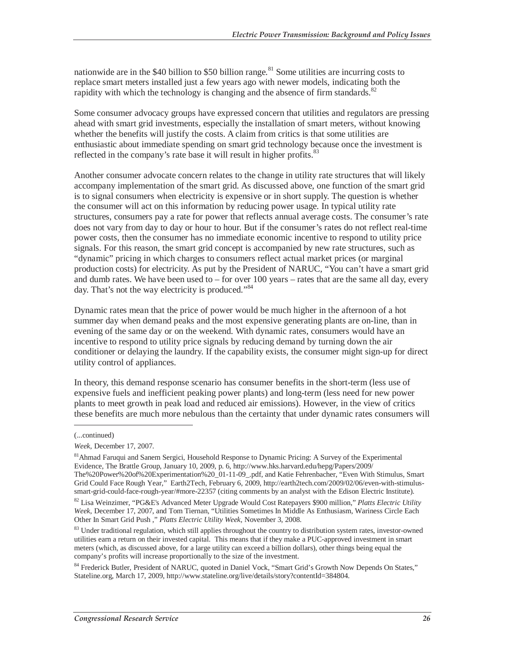nationwide are in the \$40 billion to \$50 billion range.<sup>81</sup> Some utilities are incurring costs to replace smart meters installed just a few years ago with newer models, indicating both the rapidity with which the technology is changing and the absence of firm standards.<sup>82</sup>

Some consumer advocacy groups have expressed concern that utilities and regulators are pressing ahead with smart grid investments, especially the installation of smart meters, without knowing whether the benefits will justify the costs. A claim from critics is that some utilities are enthusiastic about immediate spending on smart grid technology because once the investment is reflected in the company's rate base it will result in higher profits. $83$ 

Another consumer advocate concern relates to the change in utility rate structures that will likely accompany implementation of the smart grid. As discussed above, one function of the smart grid is to signal consumers when electricity is expensive or in short supply. The question is whether the consumer will act on this information by reducing power usage. In typical utility rate structures, consumers pay a rate for power that reflects annual average costs. The consumer's rate does not vary from day to day or hour to hour. But if the consumer's rates do not reflect real-time power costs, then the consumer has no immediate economic incentive to respond to utility price signals. For this reason, the smart grid concept is accompanied by new rate structures, such as "dynamic" pricing in which charges to consumers reflect actual market prices (or marginal production costs) for electricity. As put by the President of NARUC, "You can't have a smart grid and dumb rates. We have been used to – for over 100 years – rates that are the same all day, every day. That's not the way electricity is produced."<sup>84</sup>

Dynamic rates mean that the price of power would be much higher in the afternoon of a hot summer day when demand peaks and the most expensive generating plants are on-line, than in evening of the same day or on the weekend. With dynamic rates, consumers would have an incentive to respond to utility price signals by reducing demand by turning down the air conditioner or delaying the laundry. If the capability exists, the consumer might sign-up for direct utility control of appliances.

In theory, this demand response scenario has consumer benefits in the short-term (less use of expensive fuels and inefficient peaking power plants) and long-term (less need for new power plants to meet growth in peak load and reduced air emissions). However, in the view of critics these benefits are much more nebulous than the certainty that under dynamic rates consumers will

<u>.</u>

<sup>(...</sup>continued)

*Week*, December 17, 2007.

<sup>&</sup>lt;sup>81</sup>Ahmad Faruqui and Sanem Sergici, Household Response to Dynamic Pricing: A Survey of the Experimental Evidence, The Brattle Group, January 10, 2009, p. 6, http://www.hks.harvard.edu/hepg/Papers/2009/ The%20Power%20of%20Experimentation%20\_01-11-09\_.pdf, and Katie Fehrenbacher, "Even With Stimulus, Smart Grid Could Face Rough Year," Earth2Tech, February 6, 2009, http://earth2tech.com/2009/02/06/even-with-stimulussmart-grid-could-face-rough-year/#more-22357 (citing comments by an analyst with the Edison Electric Institute).

<sup>82</sup> Lisa Weinzimer, "PG&E's Advanced Meter Upgrade Would Cost Ratepayers \$900 million," *Platts Electric Utility Week*, December 17, 2007, and Tom Tiernan, "Utilities Sometimes In Middle As Enthusiasm, Wariness Circle Each Other In Smart Grid Push ," *Platts Electric Utility Week*, November 3, 2008.

<sup>&</sup>lt;sup>83</sup> Under traditional regulation, which still applies throughout the country to distribution system rates, investor-owned utilities earn a return on their invested capital. This means that if they make a PUC-approved investment in smart meters (which, as discussed above, for a large utility can exceed a billion dollars), other things being equal the company's profits will increase proportionally to the size of the investment.

<sup>84</sup> Frederick Butler, President of NARUC, quoted in Daniel Vock, "Smart Grid's Growth Now Depends On States," Stateline.org, March 17, 2009, http://www.stateline.org/live/details/story?contentId=384804.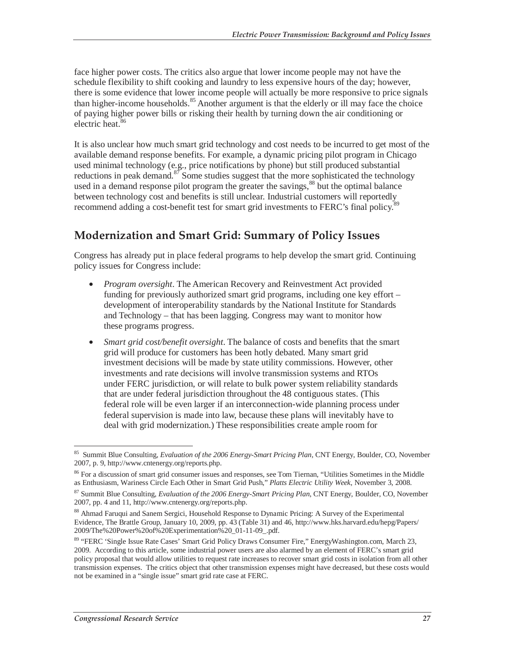face higher power costs. The critics also argue that lower income people may not have the schedule flexibility to shift cooking and laundry to less expensive hours of the day; however, there is some evidence that lower income people will actually be more responsive to price signals than higher-income households.<sup>85</sup> Another argument is that the elderly or ill may face the choice of paying higher power bills or risking their health by turning down the air conditioning or electric heat.<sup>86</sup>

It is also unclear how much smart grid technology and cost needs to be incurred to get most of the available demand response benefits. For example, a dynamic pricing pilot program in Chicago used minimal technology (e.g., price notifications by phone) but still produced substantial reductions in peak demand.<sup>87</sup> Some studies suggest that the more sophisticated the technology used in a demand response pilot program the greater the savings,  $88$  but the optimal balance between technology cost and benefits is still unclear. Industrial customers will reportedly recommend adding a cost-benefit test for smart grid investments to FERC's final policy.<sup>89</sup>

#### **Modernization and Smart Grid: Summary of Policy Issues**

Congress has already put in place federal programs to help develop the smart grid. Continuing policy issues for Congress include:

- *Program oversight*. The American Recovery and Reinvestment Act provided funding for previously authorized smart grid programs, including one key effort – development of interoperability standards by the National Institute for Standards and Technology – that has been lagging. Congress may want to monitor how these programs progress.
- *Smart grid cost/benefit oversight*. The balance of costs and benefits that the smart grid will produce for customers has been hotly debated. Many smart grid investment decisions will be made by state utility commissions. However, other investments and rate decisions will involve transmission systems and RTOs under FERC jurisdiction, or will relate to bulk power system reliability standards that are under federal jurisdiction throughout the 48 contiguous states. (This federal role will be even larger if an interconnection-wide planning process under federal supervision is made into law, because these plans will inevitably have to deal with grid modernization.) These responsibilities create ample room for

 $\overline{a}$ 85 Summit Blue Consulting, *Evaluation of the 2006 Energy-Smart Pricing Plan*, CNT Energy, Boulder, CO, November 2007, p. 9, http://www.cntenergy.org/reports.php.

<sup>&</sup>lt;sup>86</sup> For a discussion of smart grid consumer issues and responses, see Tom Tiernan, "Utilities Sometimes in the Middle as Enthusiasm, Wariness Circle Each Other in Smart Grid Push," *Platts Electric Utility Week*, November 3, 2008.

<sup>87</sup> Summit Blue Consulting, *Evaluation of the 2006 Energy-Smart Pricing Plan*, CNT Energy, Boulder, CO, November 2007, pp. 4 and 11, http://www.cntenergy.org/reports.php.

<sup>88</sup> Ahmad Faruqui and Sanem Sergici, Household Response to Dynamic Pricing: A Survey of the Experimental Evidence, The Brattle Group, January 10, 2009, pp. 43 (Table 31) and 46, http://www.hks.harvard.edu/hepg/Papers/ 2009/The%20Power%20of%20Experimentation%20\_01-11-09\_.pdf.

<sup>89 &</sup>quot;FERC 'Single Issue Rate Cases' Smart Grid Policy Draws Consumer Fire," EnergyWashington.com, March 23, 2009. According to this article, some industrial power users are also alarmed by an element of FERC's smart grid policy proposal that would allow utilities to request rate increases to recover smart grid costs in isolation from all other transmission expenses. The critics object that other transmission expenses might have decreased, but these costs would not be examined in a "single issue" smart grid rate case at FERC.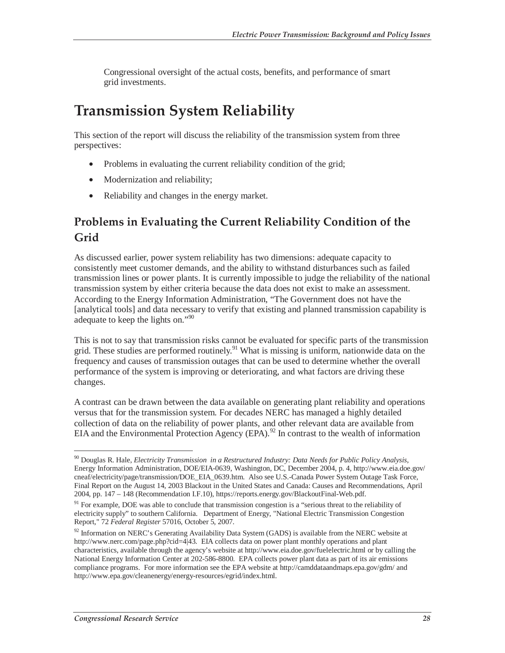Congressional oversight of the actual costs, benefits, and performance of smart grid investments.

## **Transmission System Reliability**

This section of the report will discuss the reliability of the transmission system from three perspectives:

- Problems in evaluating the current reliability condition of the grid;
- Modernization and reliability;
- Reliability and changes in the energy market.

#### **Problems in Evaluating the Current Reliability Condition of the Grid**

As discussed earlier, power system reliability has two dimensions: adequate capacity to consistently meet customer demands, and the ability to withstand disturbances such as failed transmission lines or power plants. It is currently impossible to judge the reliability of the national transmission system by either criteria because the data does not exist to make an assessment. According to the Energy Information Administration, "The Government does not have the [analytical tools] and data necessary to verify that existing and planned transmission capability is adequate to keep the lights on."<sup>90</sup>

This is not to say that transmission risks cannot be evaluated for specific parts of the transmission grid. These studies are performed routinely.<sup>91</sup> What is missing is uniform, nationwide data on the frequency and causes of transmission outages that can be used to determine whether the overall performance of the system is improving or deteriorating, and what factors are driving these changes.

A contrast can be drawn between the data available on generating plant reliability and operations versus that for the transmission system. For decades NERC has managed a highly detailed collection of data on the reliability of power plants, and other relevant data are available from EIA and the Environmental Protection Agency (EPA).<sup>92</sup> In contrast to the wealth of information

 $\overline{a}$ 90 Douglas R. Hale, *Electricity Transmission in a Restructured Industry: Data Needs for Public Policy Analysis*, Energy Information Administration, DOE/EIA-0639, Washington, DC, December 2004, p. 4, http://www.eia.doe.gov/ cneaf/electricity/page/transmission/DOE\_EIA\_0639.htm. Also see U.S.-Canada Power System Outage Task Force, Final Report on the August 14, 2003 Blackout in the United States and Canada: Causes and Recommendations, April 2004, pp. 147 – 148 (Recommendation I.F.10), https://reports.energy.gov/BlackoutFinal-Web.pdf.

<sup>&</sup>lt;sup>91</sup> For example, DOE was able to conclude that transmission congestion is a "serious threat to the reliability of electricity supply" to southern California. Department of Energy, "National Electric Transmission Congestion Report," 72 *Federal Register* 57016, October 5, 2007.

 $92$  Information on NERC's Generating Availability Data System (GADS) is available from the NERC website at http://www.nerc.com/page.php?cid=4|43. EIA collects data on power plant monthly operations and plant characteristics, available through the agency's website at http://www.eia.doe.gov/fuelelectric.html or by calling the National Energy Information Center at 202-586-8800. EPA collects power plant data as part of its air emissions compliance programs. For more information see the EPA website at http://camddataandmaps.epa.gov/gdm/ and http://www.epa.gov/cleanenergy/energy-resources/egrid/index.html.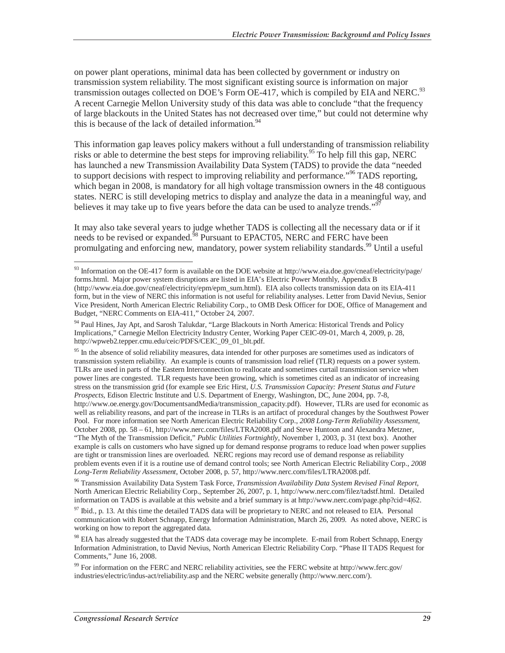on power plant operations, minimal data has been collected by government or industry on transmission system reliability. The most significant existing source is information on major transmission outages collected on DOE's Form OE-417, which is compiled by EIA and NERC.<sup>93</sup> A recent Carnegie Mellon University study of this data was able to conclude "that the frequency of large blackouts in the United States has not decreased over time," but could not determine why this is because of the lack of detailed information.  $94$ 

This information gap leaves policy makers without a full understanding of transmission reliability risks or able to determine the best steps for improving reliability.<sup>95</sup> To help fill this gap, NERC has launched a new Transmission Availability Data System (TADS) to provide the data "needed to support decisions with respect to improving reliability and performance.<sup>"96</sup> TADS reporting, which began in 2008, is mandatory for all high voltage transmission owners in the 48 contiguous states. NERC is still developing metrics to display and analyze the data in a meaningful way, and believes it may take up to five years before the data can be used to analyze trends."<sup>97</sup>

It may also take several years to judge whether TADS is collecting all the necessary data or if it needs to be revised or expanded.<sup>98</sup> Pursuant to EPACT05, NERC and FERC have been promulgating and enforcing new, mandatory, power system reliability standards.<sup>99</sup> Until a useful

96 Transmission Availability Data System Task Force, *Transmission Availability Data System Revised Final Report*, North American Electric Reliability Corp., September 26, 2007, p. 1, http://www.nerc.com/filez/tadstf.html. Detailed information on TADS is available at this website and a brief summary is at http://www.nerc.com/page.php?cid=4|62.

 $97$  Ibid., p. 13. At this time the detailed TADS data will be proprietary to NERC and not released to EIA. Personal communication with Robert Schnapp, Energy Information Administration, March 26, 2009. As noted above, NERC is working on how to report the aggregated data.

<sup>98</sup> EIA has already suggested that the TADS data coverage may be incomplete. E-mail from Robert Schnapp, Energy Information Administration, to David Nevius, North American Electric Reliability Corp. "Phase II TADS Request for Comments," June 16, 2008.

<sup>99</sup> For information on the FERC and NERC reliability activities, see the FERC website at http://www.ferc.gov/ industries/electric/indus-act/reliability.asp and the NERC website generally (http://www.nerc.com/).

 $\overline{a}$ 

 $93$  Information on the OE-417 form is available on the DOE website at http://www.eia.doe.gov/cneaf/electricity/page/ forms.html. Major power system disruptions are listed in EIA's Electric Power Monthly, Appendix B (http://www.eia.doe.gov/cneaf/electricity/epm/epm\_sum.html). EIA also collects transmission data on its EIA-411 form, but in the view of NERC this information is not useful for reliability analyses. Letter from David Nevius, Senior Vice President, North American Electric Reliability Corp., to OMB Desk Officer for DOE, Office of Management and Budget, "NERC Comments on EIA-411," October 24, 2007.

<sup>&</sup>lt;sup>94</sup> Paul Hines, Jay Apt, and Sarosh Talukdar, "Large Blackouts in North America: Historical Trends and Policy Implications," Carnegie Mellon Electricity Industry Center, Working Paper CEIC-09-01, March 4, 2009, p. 28, http://wpweb2.tepper.cmu.edu/ceic/PDFS/CEIC\_09\_01\_blt.pdf.

<sup>&</sup>lt;sup>95</sup> In the absence of solid reliability measures, data intended for other purposes are sometimes used as indicators of transmission system reliability. An example is counts of transmission load relief (TLR) requests on a power system. TLRs are used in parts of the Eastern Interconnection to reallocate and sometimes curtail transmission service when power lines are congested. TLR requests have been growing, which is sometimes cited as an indicator of increasing stress on the transmission grid (for example see Eric Hirst, *U.S. Transmission Capacity: Present Status and Future Prospects*, Edison Electric Institute and U.S. Department of Energy, Washington, DC, June 2004, pp. 7-8, http://www.oe.energy.gov/DocumentsandMedia/transmission\_capacity.pdf). However, TLRs are used for economic as well as reliability reasons, and part of the increase in TLRs is an artifact of procedural changes by the Southwest Power Pool. For more information see North American Electric Reliability Corp., *2008 Long-Term Reliability Assessment*, October 2008, pp. 58 – 61, http://www.nerc.com/files/LTRA2008.pdf and Steve Huntoon and Alexandra Metzner, "The Myth of the Transmission Deficit," *Public Utilities Fortnightly*, November 1, 2003, p. 31 (text box). Another example is calls on customers who have signed up for demand response programs to reduce load when power supplies are tight or transmission lines are overloaded. NERC regions may record use of demand response as reliability problem events even if it is a routine use of demand control tools; see North American Electric Reliability Corp., *2008 Long-Term Reliability Assessment*, October 2008, p. 57, http://www.nerc.com/files/LTRA2008.pdf.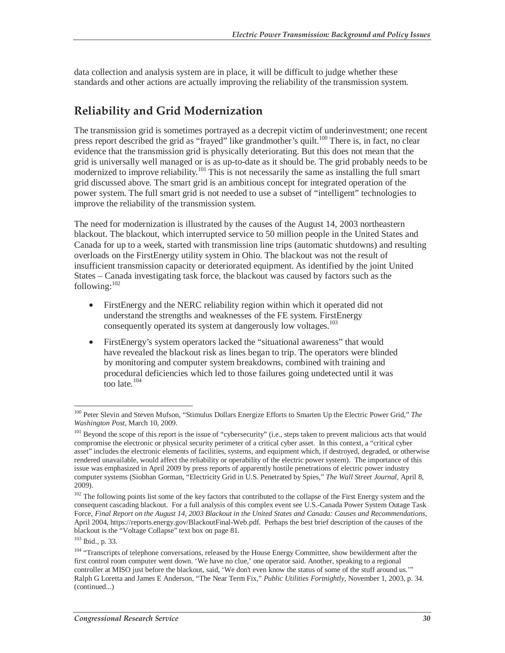data collection and analysis system are in place, it will be difficult to judge whether these standards and other actions are actually improving the reliability of the transmission system.

#### **Reliability and Grid Modernization**

The transmission grid is sometimes portrayed as a decrepit victim of underinvestment; one recent press report described the grid as "frayed" like grandmother's quilt.<sup>100</sup> There is, in fact, no clear evidence that the transmission grid is physically deteriorating. But this does not mean that the grid is universally well managed or is as up-to-date as it should be. The grid probably needs to be modernized to improve reliability.<sup>101</sup> This is not necessarily the same as installing the full smart grid discussed above. The smart grid is an ambitious concept for integrated operation of the power system. The full smart grid is not needed to use a subset of "intelligent" technologies to improve the reliability of the transmission system.

The need for modernization is illustrated by the causes of the August 14, 2003 northeastern blackout. The blackout, which interrupted service to 50 million people in the United States and Canada for up to a week, started with transmission line trips (automatic shutdowns) and resulting overloads on the FirstEnergy utility system in Ohio. The blackout was not the result of insufficient transmission capacity or deteriorated equipment. As identified by the joint United States – Canada investigating task force, the blackout was caused by factors such as the following: $102$ 

- FirstEnergy and the NERC reliability region within which it operated did not understand the strengths and weaknesses of the FE system. FirstEnergy consequently operated its system at dangerously low voltages.<sup>103</sup>
- FirstEnergy's system operators lacked the "situational awareness" that would have revealed the blackout risk as lines began to trip. The operators were blinded by monitoring and computer system breakdowns, combined with training and procedural deficiencies which led to those failures going undetected until it was too late.<sup>104</sup>

 $\overline{a}$ 100 Peter Slevin and Steven Mufson, "Stimulus Dollars Energize Efforts to Smarten Up the Electric Power Grid," *The Washington Post*, March 10, 2009.

<sup>&</sup>lt;sup>101</sup> Beyond the scope of this report is the issue of "cybersecurity" (i.e., steps taken to prevent malicious acts that would compromise the electronic or physical security perimeter of a critical cyber asset. In this context, a "critical cyber asset" includes the electronic elements of facilities, systems, and equipment which, if destroyed, degraded, or otherwise rendered unavailable, would affect the reliability or operability of the electric power system). The importance of this issue was emphasized in April 2009 by press reports of apparently hostile penetrations of electric power industry computer systems (Siobhan Gorman, "Electricity Grid in U.S. Penetrated by Spies," *The Wall Street Journal*, April 8, 2009).

<sup>&</sup>lt;sup>102</sup> The following points list some of the key factors that contributed to the collapse of the First Energy system and the consequent cascading blackout. For a full analysis of this complex event see U.S.-Canada Power System Outage Task Force, *Final Report on the August 14, 2003 Blackout in the United States and Canada: Causes and Recommendations*, April 2004, https://reports.energy.gov/BlackoutFinal-Web.pdf. Perhaps the best brief description of the causes of the blackout is the "Voltage Collapse" text box on page 81.

<sup>103</sup> Ibid., p. 33.

<sup>&</sup>lt;sup>104</sup> "Transcripts of telephone conversations, released by the House Energy Committee, show bewilderment after the first control room computer went down. 'We have no clue,' one operator said. Another, speaking to a regional controller at MISO just before the blackout, said, 'We don't even know the status of some of the stuff around us.'" Ralph G Loretta and James E Anderson, "The Near Term Fix," *Public Utilities Fortnightly*, November 1, 2003, p. 34. (continued...)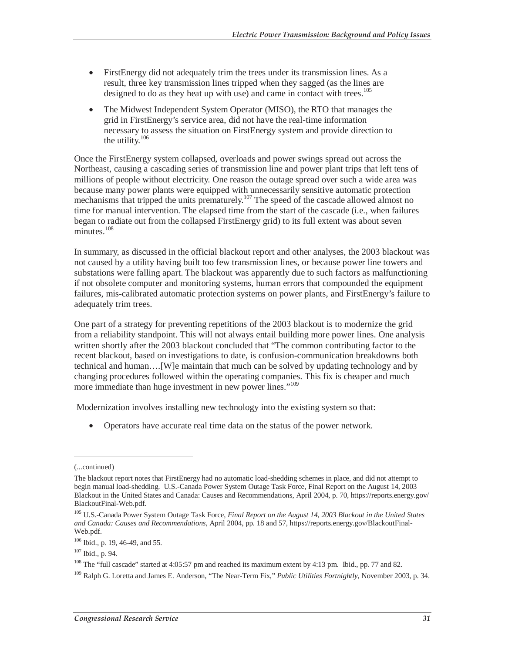- FirstEnergy did not adequately trim the trees under its transmission lines. As a result, three key transmission lines tripped when they sagged (as the lines are designed to do as they heat up with use) and came in contact with trees.<sup>105</sup>
- The Midwest Independent System Operator (MISO), the RTO that manages the grid in FirstEnergy's service area, did not have the real-time information necessary to assess the situation on FirstEnergy system and provide direction to the utility. $106$

Once the FirstEnergy system collapsed, overloads and power swings spread out across the Northeast, causing a cascading series of transmission line and power plant trips that left tens of millions of people without electricity. One reason the outage spread over such a wide area was because many power plants were equipped with unnecessarily sensitive automatic protection mechanisms that tripped the units prematurely.<sup>107</sup> The speed of the cascade allowed almost no time for manual intervention. The elapsed time from the start of the cascade (i.e., when failures began to radiate out from the collapsed FirstEnergy grid) to its full extent was about seven minutes.<sup>108</sup>

In summary, as discussed in the official blackout report and other analyses, the 2003 blackout was not caused by a utility having built too few transmission lines, or because power line towers and substations were falling apart. The blackout was apparently due to such factors as malfunctioning if not obsolete computer and monitoring systems, human errors that compounded the equipment failures, mis-calibrated automatic protection systems on power plants, and FirstEnergy's failure to adequately trim trees.

One part of a strategy for preventing repetitions of the 2003 blackout is to modernize the grid from a reliability standpoint. This will not always entail building more power lines. One analysis written shortly after the 2003 blackout concluded that "The common contributing factor to the recent blackout, based on investigations to date, is confusion-communication breakdowns both technical and human….[W]e maintain that much can be solved by updating technology and by changing procedures followed within the operating companies. This fix is cheaper and much more immediate than huge investment in new power lines."<sup>109</sup>

Modernization involves installing new technology into the existing system so that:

• Operators have accurate real time data on the status of the power network.

<sup>(...</sup>continued)

The blackout report notes that FirstEnergy had no automatic load-shedding schemes in place, and did not attempt to begin manual load-shedding. U.S.-Canada Power System Outage Task Force, Final Report on the August 14, 2003 Blackout in the United States and Canada: Causes and Recommendations, April 2004, p. 70, https://reports.energy.gov/ BlackoutFinal-Web.pdf.

<sup>105</sup> U.S.-Canada Power System Outage Task Force, *Final Report on the August 14, 2003 Blackout in the United States and Canada: Causes and Recommendations*, April 2004, pp. 18 and 57, https://reports.energy.gov/BlackoutFinal-Web.pdf.

<sup>106</sup> Ibid., p. 19, 46-49, and 55.

<sup>107</sup> Ibid., p. 94.

<sup>&</sup>lt;sup>108</sup> The "full cascade" started at 4:05:57 pm and reached its maximum extent by 4:13 pm. Ibid., pp. 77 and 82.

<sup>109</sup> Ralph G. Loretta and James E. Anderson, "The Near-Term Fix," *Public Utilities Fortnightly*, November 2003, p. 34.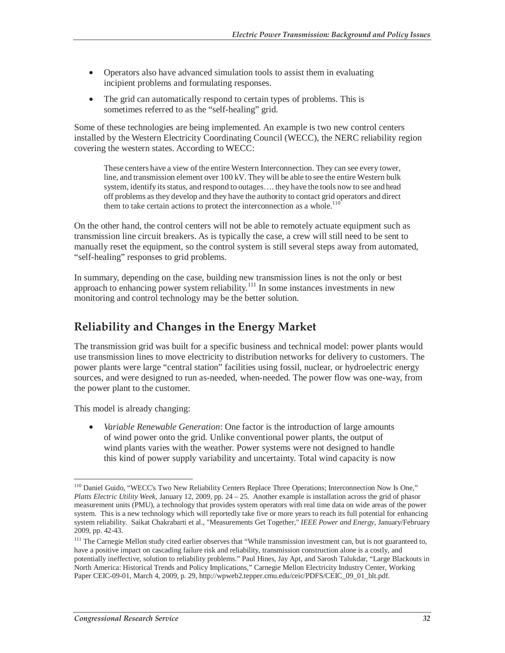- Operators also have advanced simulation tools to assist them in evaluating incipient problems and formulating responses.
- The grid can automatically respond to certain types of problems. This is sometimes referred to as the "self-healing" grid.

Some of these technologies are being implemented. An example is two new control centers installed by the Western Electricity Coordinating Council (WECC), the NERC reliability region covering the western states. According to WECC:

These centers have a view of the entire Western Interconnection. They can see every tower, line, and transmission element over 100 kV. They will be able to see the entire Western bulk system, identify its status, and respond to outages…. they have the tools now to see and head off problems as they develop and they have the authority to contact grid operators and direct them to take certain actions to protect the interconnection as a whole.<sup>110</sup>

On the other hand, the control centers will not be able to remotely actuate equipment such as transmission line circuit breakers. As is typically the case, a crew will still need to be sent to manually reset the equipment, so the control system is still several steps away from automated, "self-healing" responses to grid problems.

In summary, depending on the case, building new transmission lines is not the only or best approach to enhancing power system reliability.<sup>111</sup> In some instances investments in new monitoring and control technology may be the better solution.

#### **Reliability and Changes in the Energy Market**

The transmission grid was built for a specific business and technical model: power plants would use transmission lines to move electricity to distribution networks for delivery to customers. The power plants were large "central station" facilities using fossil, nuclear, or hydroelectric energy sources, and were designed to run as-needed, when-needed. The power flow was one-way, from the power plant to the customer.

This model is already changing:

• *Variable Renewable Generation*: One factor is the introduction of large amounts of wind power onto the grid. Unlike conventional power plants, the output of wind plants varies with the weather. Power systems were not designed to handle this kind of power supply variability and uncertainty. Total wind capacity is now

<sup>-</sup><sup>110</sup> Daniel Guido, "WECC's Two New Reliability Centers Replace Three Operations; Interconnection Now Is One," *Platts Electric Utility Week*, January 12, 2009, pp. 24 – 25. Another example is installation across the grid of phasor measurement units (PMU), a technology that provides system operators with real time data on wide areas of the power system. This is a new technology which will reportedly take five or more years to reach its full potential for enhancing system reliability. Saikat Chakrabarti et al., "Measurements Get Together," *IEEE Power and Energy*, January/February 2009, pp. 42-43.

<sup>&</sup>lt;sup>111</sup> The Carnegie Mellon study cited earlier observes that "While transmission investment can, but is not guaranteed to, have a positive impact on cascading failure risk and reliability, transmission construction alone is a costly, and potentially ineffective, solution to reliability problems." Paul Hines, Jay Apt, and Sarosh Talukdar, "Large Blackouts in North America: Historical Trends and Policy Implications," Carnegie Mellon Electricity Industry Center, Working Paper CEIC-09-01, March 4, 2009, p. 29, http://wpweb2.tepper.cmu.edu/ceic/PDFS/CEIC\_09\_01\_blt.pdf.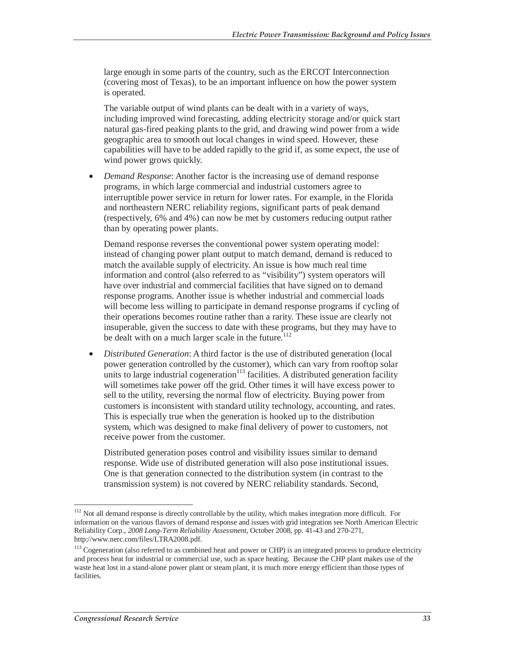large enough in some parts of the country, such as the ERCOT Interconnection (covering most of Texas), to be an important influence on how the power system is operated.

The variable output of wind plants can be dealt with in a variety of ways, including improved wind forecasting, adding electricity storage and/or quick start natural gas-fired peaking plants to the grid, and drawing wind power from a wide geographic area to smooth out local changes in wind speed. However, these capabilities will have to be added rapidly to the grid if, as some expect, the use of wind power grows quickly.

• *Demand Response*: Another factor is the increasing use of demand response programs, in which large commercial and industrial customers agree to interruptible power service in return for lower rates. For example, in the Florida and northeastern NERC reliability regions, significant parts of peak demand (respectively, 6% and 4%) can now be met by customers reducing output rather than by operating power plants.

Demand response reverses the conventional power system operating model: instead of changing power plant output to match demand, demand is reduced to match the available supply of electricity. An issue is how much real time information and control (also referred to as "visibility") system operators will have over industrial and commercial facilities that have signed on to demand response programs. Another issue is whether industrial and commercial loads will become less willing to participate in demand response programs if cycling of their operations becomes routine rather than a rarity. These issue are clearly not insuperable, given the success to date with these programs, but they may have to be dealt with on a much larger scale in the future. $112$ 

• *Distributed Generation*: A third factor is the use of distributed generation (local power generation controlled by the customer), which can vary from rooftop solar units to large industrial cogeneration<sup> $113$ </sup> facilities. A distributed generation facility will sometimes take power off the grid. Other times it will have excess power to sell to the utility, reversing the normal flow of electricity. Buying power from customers is inconsistent with standard utility technology, accounting, and rates. This is especially true when the generation is hooked up to the distribution system, which was designed to make final delivery of power to customers, not receive power from the customer.

Distributed generation poses control and visibility issues similar to demand response. Wide use of distributed generation will also pose institutional issues. One is that generation connected to the distribution system (in contrast to the transmission system) is not covered by NERC reliability standards. Second,

<sup>&</sup>lt;sup>112</sup> Not all demand response is directly controllable by the utility, which makes integration more difficult. For information on the various flavors of demand response and issues with grid integration see North American Electric Reliability Corp., *2008 Long-Term Reliability Assessment*, October 2008, pp. 41-43 and 270-271, http://www.nerc.com/files/LTRA2008.pdf.

<sup>&</sup>lt;sup>113</sup> Cogeneration (also referred to as combined heat and power or CHP) is an integrated process to produce electricity and process heat for industrial or commercial use, such as space heating. Because the CHP plant makes use of the waste heat lost in a stand-alone power plant or steam plant, it is much more energy efficient than those types of facilities.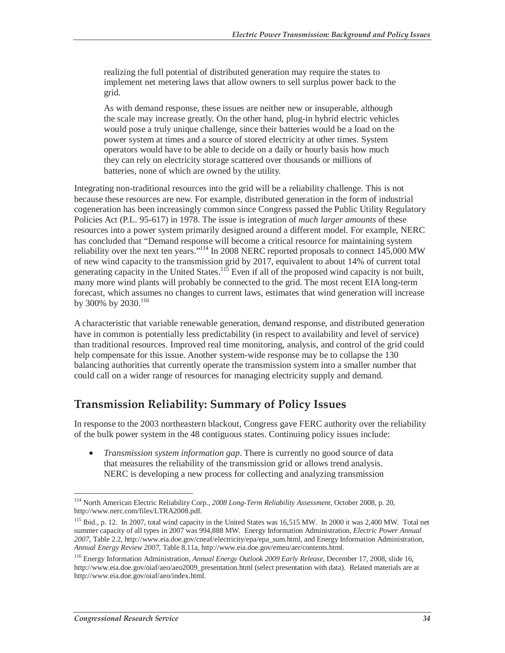realizing the full potential of distributed generation may require the states to implement net metering laws that allow owners to sell surplus power back to the grid.

As with demand response, these issues are neither new or insuperable, although the scale may increase greatly. On the other hand, plug-in hybrid electric vehicles would pose a truly unique challenge, since their batteries would be a load on the power system at times and a source of stored electricity at other times. System operators would have to be able to decide on a daily or hourly basis how much they can rely on electricity storage scattered over thousands or millions of batteries, none of which are owned by the utility.

Integrating non-traditional resources into the grid will be a reliability challenge. This is not because these resources are new. For example, distributed generation in the form of industrial cogeneration has been increasingly common since Congress passed the Public Utility Regulatory Policies Act (P.L. 95-617) in 1978. The issue is integration of *much larger amounts* of these resources into a power system primarily designed around a different model. For example, NERC has concluded that "Demand response will become a critical resource for maintaining system reliability over the next ten years."114 In 2008 NERC reported proposals to connect 145,000 MW of new wind capacity to the transmission grid by 2017, equivalent to about 14% of current total generating capacity in the United States.<sup>115</sup> Even if all of the proposed wind capacity is not built, many more wind plants will probably be connected to the grid. The most recent EIA long-term forecast, which assumes no changes to current laws, estimates that wind generation will increase by 300% by 2030.<sup>116</sup>

A characteristic that variable renewable generation, demand response, and distributed generation have in common is potentially less predictability (in respect to availability and level of service) than traditional resources. Improved real time monitoring, analysis, and control of the grid could help compensate for this issue. Another system-wide response may be to collapse the 130 balancing authorities that currently operate the transmission system into a smaller number that could call on a wider range of resources for managing electricity supply and demand.

#### **Transmission Reliability: Summary of Policy Issues**

In response to the 2003 northeastern blackout, Congress gave FERC authority over the reliability of the bulk power system in the 48 contiguous states. Continuing policy issues include:

• *Transmission system information gap*. There is currently no good source of data that measures the reliability of the transmission grid or allows trend analysis. NERC is developing a new process for collecting and analyzing transmission

<sup>-</sup>114 North American Electric Reliability Corp., *2008 Long-Term Reliability Assessment*, October 2008, p. 20, http://www.nerc.com/files/LTRA2008.pdf.

<sup>115</sup> Ibid., p. 12. In 2007, total wind capacity in the United States was 16,515 MW. In 2000 it was 2,400 MW. Total net summer capacity of all types in 2007 was 994,888 MW. Energy Information Administration, *Electric Power Annual 2007*, Table 2.2, http://www.eia.doe.gov/cneaf/electricity/epa/epa\_sum.html, and Energy Information Administration, *Annual Energy Review 2007*, Table 8.11a, http://www.eia.doe.gov/emeu/aer/contents.html.

<sup>116</sup> Energy Information Administration, *Annual Energy Outlook 2009 Early Release*, December 17, 2008, slide 16, http://www.eia.doe.gov/oiaf/aeo/aeo2009\_presentation.html (select presentation with data). Related materials are at http://www.eia.doe.gov/oiaf/aeo/index.html.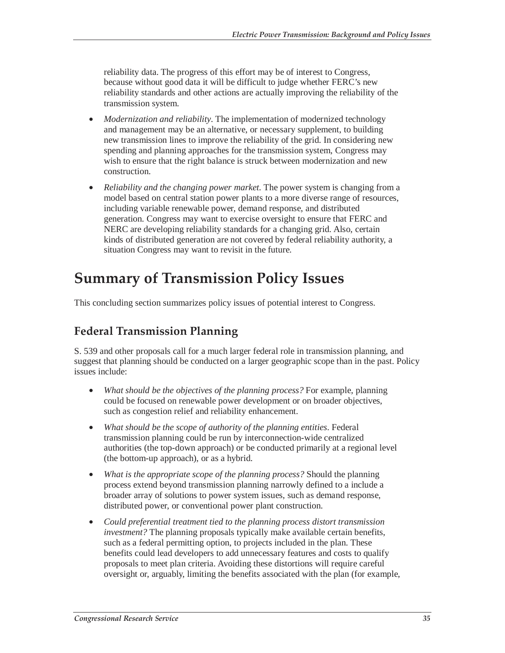reliability data. The progress of this effort may be of interest to Congress, because without good data it will be difficult to judge whether FERC's new reliability standards and other actions are actually improving the reliability of the transmission system.

- *Modernization and reliability*. The implementation of modernized technology and management may be an alternative, or necessary supplement, to building new transmission lines to improve the reliability of the grid. In considering new spending and planning approaches for the transmission system, Congress may wish to ensure that the right balance is struck between modernization and new construction.
- *Reliability and the changing power market.* The power system is changing from a model based on central station power plants to a more diverse range of resources, including variable renewable power, demand response, and distributed generation. Congress may want to exercise oversight to ensure that FERC and NERC are developing reliability standards for a changing grid. Also, certain kinds of distributed generation are not covered by federal reliability authority, a situation Congress may want to revisit in the future.

## **Summary of Transmission Policy Issues**

This concluding section summarizes policy issues of potential interest to Congress.

### **Federal Transmission Planning**

S. 539 and other proposals call for a much larger federal role in transmission planning, and suggest that planning should be conducted on a larger geographic scope than in the past. Policy issues include:

- *What should be the objectives of the planning process?* For example, planning could be focused on renewable power development or on broader objectives, such as congestion relief and reliability enhancement.
- *What should be the scope of authority of the planning entities*. Federal transmission planning could be run by interconnection-wide centralized authorities (the top-down approach) or be conducted primarily at a regional level (the bottom-up approach), or as a hybrid.
- *What is the appropriate scope of the planning process?* Should the planning process extend beyond transmission planning narrowly defined to a include a broader array of solutions to power system issues, such as demand response, distributed power, or conventional power plant construction.
- *Could preferential treatment tied to the planning process distort transmission investment?* The planning proposals typically make available certain benefits, such as a federal permitting option, to projects included in the plan. These benefits could lead developers to add unnecessary features and costs to qualify proposals to meet plan criteria. Avoiding these distortions will require careful oversight or, arguably, limiting the benefits associated with the plan (for example,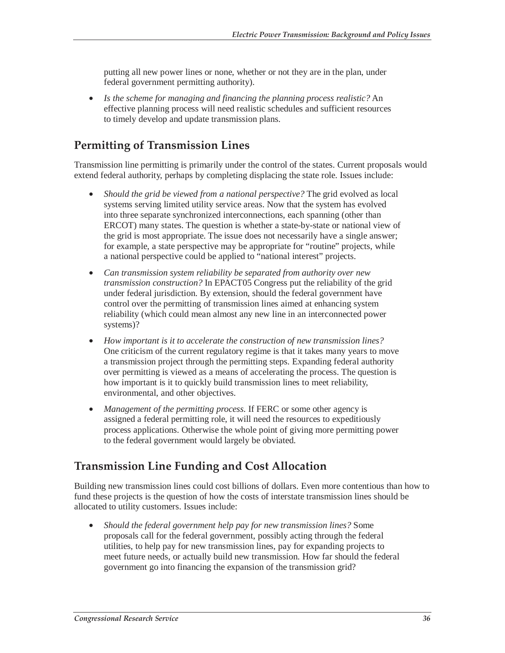putting all new power lines or none, whether or not they are in the plan, under federal government permitting authority).

• *Is the scheme for managing and financing the planning process realistic?* An effective planning process will need realistic schedules and sufficient resources to timely develop and update transmission plans.

#### **Permitting of Transmission Lines**

Transmission line permitting is primarily under the control of the states. Current proposals would extend federal authority, perhaps by completing displacing the state role. Issues include:

- *Should the grid be viewed from a national perspective?* The grid evolved as local systems serving limited utility service areas. Now that the system has evolved into three separate synchronized interconnections, each spanning (other than ERCOT) many states. The question is whether a state-by-state or national view of the grid is most appropriate. The issue does not necessarily have a single answer; for example, a state perspective may be appropriate for "routine" projects, while a national perspective could be applied to "national interest" projects.
- *Can transmission system reliability be separated from authority over new transmission construction?* In EPACT05 Congress put the reliability of the grid under federal jurisdiction. By extension, should the federal government have control over the permitting of transmission lines aimed at enhancing system reliability (which could mean almost any new line in an interconnected power systems)?
- *How important is it to accelerate the construction of new transmission lines?* One criticism of the current regulatory regime is that it takes many years to move a transmission project through the permitting steps. Expanding federal authority over permitting is viewed as a means of accelerating the process. The question is how important is it to quickly build transmission lines to meet reliability, environmental, and other objectives.
- *Management of the permitting process*. If FERC or some other agency is assigned a federal permitting role, it will need the resources to expeditiously process applications. Otherwise the whole point of giving more permitting power to the federal government would largely be obviated.

#### **Transmission Line Funding and Cost Allocation**

Building new transmission lines could cost billions of dollars. Even more contentious than how to fund these projects is the question of how the costs of interstate transmission lines should be allocated to utility customers. Issues include:

• *Should the federal government help pay for new transmission lines?* Some proposals call for the federal government, possibly acting through the federal utilities, to help pay for new transmission lines, pay for expanding projects to meet future needs, or actually build new transmission. How far should the federal government go into financing the expansion of the transmission grid?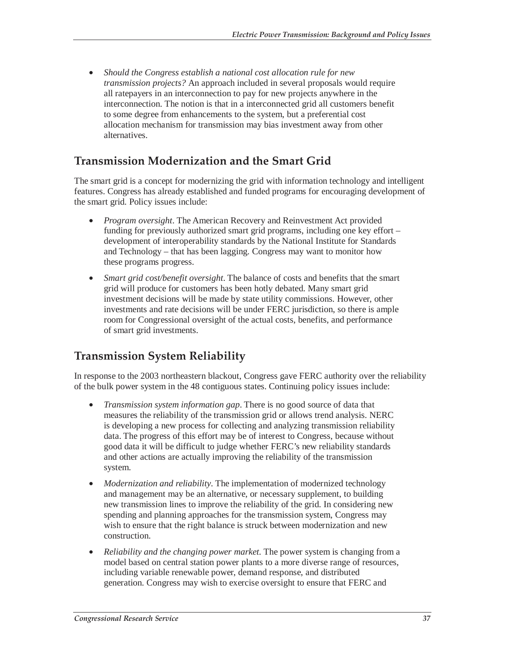• *Should the Congress establish a national cost allocation rule for new transmission projects?* An approach included in several proposals would require all ratepayers in an interconnection to pay for new projects anywhere in the interconnection. The notion is that in a interconnected grid all customers benefit to some degree from enhancements to the system, but a preferential cost allocation mechanism for transmission may bias investment away from other alternatives.

#### **Transmission Modernization and the Smart Grid**

The smart grid is a concept for modernizing the grid with information technology and intelligent features. Congress has already established and funded programs for encouraging development of the smart grid. Policy issues include:

- *Program oversight*. The American Recovery and Reinvestment Act provided funding for previously authorized smart grid programs, including one key effort – development of interoperability standards by the National Institute for Standards and Technology – that has been lagging. Congress may want to monitor how these programs progress.
- *Smart grid cost/benefit oversight*. The balance of costs and benefits that the smart grid will produce for customers has been hotly debated. Many smart grid investment decisions will be made by state utility commissions. However, other investments and rate decisions will be under FERC jurisdiction, so there is ample room for Congressional oversight of the actual costs, benefits, and performance of smart grid investments.

### **Transmission System Reliability**

In response to the 2003 northeastern blackout, Congress gave FERC authority over the reliability of the bulk power system in the 48 contiguous states. Continuing policy issues include:

- *Transmission system information gap*. There is no good source of data that measures the reliability of the transmission grid or allows trend analysis. NERC is developing a new process for collecting and analyzing transmission reliability data. The progress of this effort may be of interest to Congress, because without good data it will be difficult to judge whether FERC's new reliability standards and other actions are actually improving the reliability of the transmission system.
- *Modernization and reliability*. The implementation of modernized technology and management may be an alternative, or necessary supplement, to building new transmission lines to improve the reliability of the grid. In considering new spending and planning approaches for the transmission system, Congress may wish to ensure that the right balance is struck between modernization and new construction.
- *Reliability and the changing power market.* The power system is changing from a model based on central station power plants to a more diverse range of resources, including variable renewable power, demand response, and distributed generation. Congress may wish to exercise oversight to ensure that FERC and